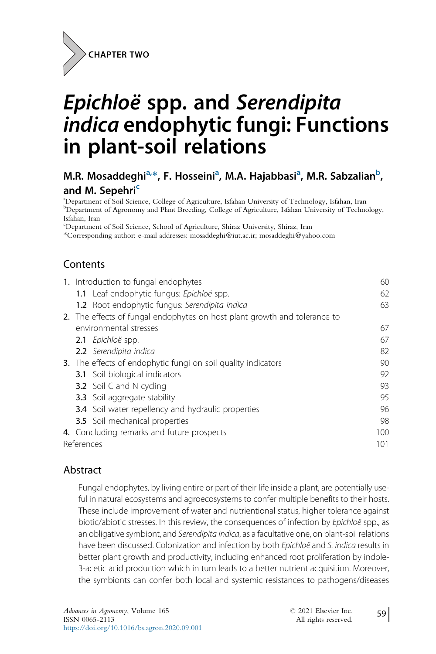

# Epichloë spp. and Serendipita indica endophytic fungi: Functions in plant-soil relations

# M.R. Mosaddeghi<sup>a,\*</sup>, F. Hosseini<sup>a</sup>, M.A. Hajabbasi<sup>a</sup>, M.R. Sabzalian<sup>b</sup>, and M. Sepehri<sup>c</sup>

a Department of Soil Science, College of Agriculture, Isfahan University of Technology, Isfahan, Iran **b** Department of Agronomy and Plant Breeding, College of Agriculture, Isfahan University of Technology, Isfahan, Iran

c Department of Soil Science, School of Agriculture, Shiraz University, Shiraz, Iran

\*Corresponding author: e-mail addresses: mosaddeghi@iut.ac.ir; mosaddeghi@yahoo.com

### **Contents**

| 1. Introduction to fungal endophytes                                      | 60  |  |  |
|---------------------------------------------------------------------------|-----|--|--|
| 1.1 Leaf endophytic fungus: Epichloë spp.                                 | 62  |  |  |
| 1.2 Root endophytic fungus: Serendipita indica                            | 63  |  |  |
| 2. The effects of fungal endophytes on host plant growth and tolerance to |     |  |  |
| environmental stresses                                                    | 67  |  |  |
| 2.1 Epichloë spp.                                                         | 67  |  |  |
| <b>2.2</b> Serendipita indica                                             | 82  |  |  |
| 3. The effects of endophytic fungi on soil quality indicators             | 90  |  |  |
| <b>3.1</b> Soil biological indicators                                     | 92  |  |  |
| <b>3.2</b> Soil C and N cycling                                           | 93  |  |  |
| <b>3.3</b> Soil aggregate stability                                       | 95  |  |  |
| <b>3.4</b> Soil water repellency and hydraulic properties                 | 96  |  |  |
| 3.5 Soil mechanical properties                                            | 98  |  |  |
| 4. Concluding remarks and future prospects                                | 100 |  |  |
| References                                                                |     |  |  |
|                                                                           |     |  |  |

#### Abstract

Fungal endophytes, by living entire or part of their life inside a plant, are potentially useful in natural ecosystems and agroecosystems to confer multiple benefits to their hosts. These include improvement of water and nutrientional status, higher tolerance against biotic/abiotic stresses. In this review, the consequences of infection by Epichloë spp., as an obligative symbiont, and Serendipita indica, as a facultative one, on plant-soil relations have been discussed. Colonization and infection by both Epichloë and S. indica results in better plant growth and productivity, including enhanced root proliferation by indole-3-acetic acid production which in turn leads to a better nutrient acquisition. Moreover, the symbionts can confer both local and systemic resistances to pathogens/diseases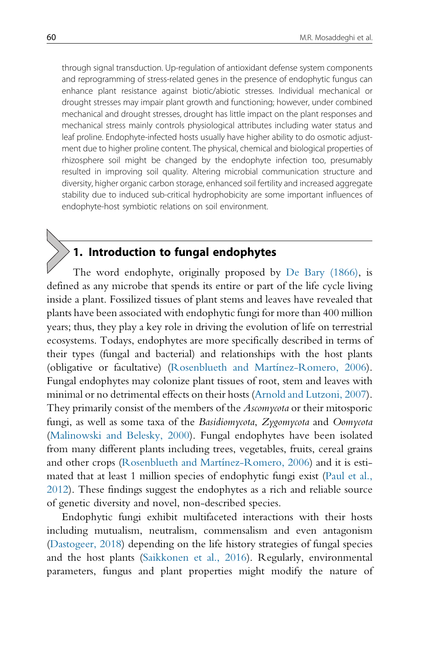through signal transduction. Up-regulation of antioxidant defense system components and reprogramming of stress-related genes in the presence of endophytic fungus can enhance plant resistance against biotic/abiotic stresses. Individual mechanical or drought stresses may impair plant growth and functioning; however, under combined mechanical and drought stresses, drought has little impact on the plant responses and mechanical stress mainly controls physiological attributes including water status and leaf proline. Endophyte-infected hosts usually have higher ability to do osmotic adjustment due to higher proline content. The physical, chemical and biological properties of rhizosphere soil might be changed by the endophyte infection too, presumably resulted in improving soil quality. Altering microbial communication structure and diversity, higher organic carbon storage, enhanced soil fertility and increased aggregate stability due to induced sub-critical hydrophobicity are some important influences of endophyte-host symbiotic relations on soil environment.

# 1. Introduction to fungal endophytes

The word endophyte, originally proposed by De Bary (1866), is defined as any microbe that spends its entire or part of the life cycle living inside a plant. Fossilized tissues of plant stems and leaves have revealed that plants have been associated with endophytic fungi for more than 400 million years; thus, they play a key role in driving the evolution of life on terrestrial ecosystems. Todays, endophytes are more specifically described in terms of their types (fungal and bacterial) and relationships with the host plants (obligative or facultative) (Rosenblueth and Martínez-Romero, 2006). Fungal endophytes may colonize plant tissues of root, stem and leaves with minimal or no detrimental effects on their hosts (Arnold and Lutzoni, 2007). They primarily consist of the members of the Ascomycota or their mitosporic fungi, as well as some taxa of the Basidiomycota, Zygomycota and Oomycota (Malinowski and Belesky, 2000). Fungal endophytes have been isolated from many different plants including trees, vegetables, fruits, cereal grains and other crops (Rosenblueth and Martínez-Romero, 2006) and it is estimated that at least 1 million species of endophytic fungi exist (Paul et al., 2012). These findings suggest the endophytes as a rich and reliable source of genetic diversity and novel, non-described species.

Endophytic fungi exhibit multifaceted interactions with their hosts including mutualism, neutralism, commensalism and even antagonism (Dastogeer, 2018) depending on the life history strategies of fungal species and the host plants (Saikkonen et al., 2016). Regularly, environmental parameters, fungus and plant properties might modify the nature of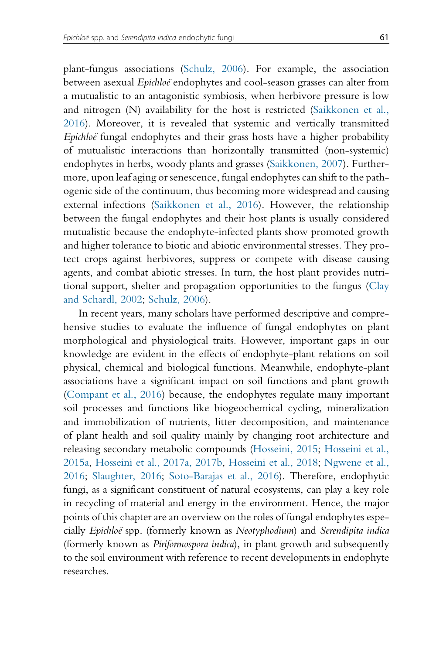plant-fungus associations (Schulz, 2006). For example, the association between asexual Epichloe endophytes and cool-season grasses can alter from a mutualistic to an antagonistic symbiosis, when herbivore pressure is low and nitrogen (N) availability for the host is restricted (Saikkonen et al., 2016). Moreover, it is revealed that systemic and vertically transmitted Epichloe fungal endophytes and their grass hosts have a higher probability of mutualistic interactions than horizontally transmitted (non-systemic) endophytes in herbs, woody plants and grasses (Saikkonen, 2007). Furthermore, upon leaf aging or senescence, fungal endophytes can shift to the pathogenic side of the continuum, thus becoming more widespread and causing external infections (Saikkonen et al., 2016). However, the relationship between the fungal endophytes and their host plants is usually considered mutualistic because the endophyte-infected plants show promoted growth and higher tolerance to biotic and abiotic environmental stresses. They protect crops against herbivores, suppress or compete with disease causing agents, and combat abiotic stresses. In turn, the host plant provides nutritional support, shelter and propagation opportunities to the fungus (Clay and Schardl, 2002; Schulz, 2006).

In recent years, many scholars have performed descriptive and comprehensive studies to evaluate the influence of fungal endophytes on plant morphological and physiological traits. However, important gaps in our knowledge are evident in the effects of endophyte-plant relations on soil physical, chemical and biological functions. Meanwhile, endophyte-plant associations have a significant impact on soil functions and plant growth (Compant et al., 2016) because, the endophytes regulate many important soil processes and functions like biogeochemical cycling, mineralization and immobilization of nutrients, litter decomposition, and maintenance of plant health and soil quality mainly by changing root architecture and releasing secondary metabolic compounds (Hosseini, 2015; Hosseini et al., 2015a, Hosseini et al., 2017a, 2017b, Hosseini et al., 2018; Ngwene et al., 2016; Slaughter, 2016; Soto-Barajas et al., 2016). Therefore, endophytic fungi, as a significant constituent of natural ecosystems, can play a key role in recycling of material and energy in the environment. Hence, the major points of this chapter are an overview on the roles of fungal endophytes especially Epichloe¨ spp. (formerly known as Neotyphodium) and Serendipita indica (formerly known as *Piriformospora indica*), in plant growth and subsequently to the soil environment with reference to recent developments in endophyte researches.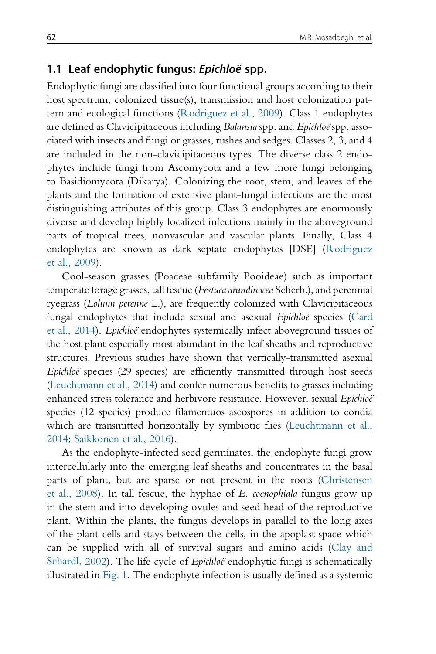### 1.1 Leaf endophytic fungus: Epichloë spp.

Endophytic fungi are classified into four functional groups according to their host spectrum, colonized tissue(s), transmission and host colonization pattern and ecological functions (Rodriguez et al., 2009). Class 1 endophytes are defined as Clavicipitaceous including Balansia spp. and Epichloe spp. associated with insects and fungi or grasses, rushes and sedges. Classes 2, 3, and 4 are included in the non-clavicipitaceous types. The diverse class 2 endophytes include fungi from Ascomycota and a few more fungi belonging to Basidiomycota (Dikarya). Colonizing the root, stem, and leaves of the plants and the formation of extensive plant-fungal infections are the most distinguishing attributes of this group. Class 3 endophytes are enormously diverse and develop highly localized infections mainly in the aboveground parts of tropical trees, nonvascular and vascular plants. Finally, Class 4 endophytes are known as dark septate endophytes [DSE] (Rodriguez et al., 2009).

Cool-season grasses (Poaceae subfamily Pooideae) such as important temperate forage grasses, tall fescue (Festuca arundinacea Scherb.), and perennial ryegrass (Lolium perenne L.), are frequently colonized with Clavicipitaceous fungal endophytes that include sexual and asexual *Epichloe* species (Card et al., 2014). *Epichloe* endophytes systemically infect aboveground tissues of the host plant especially most abundant in the leaf sheaths and reproductive structures. Previous studies have shown that vertically-transmitted asexual Epichloe species (29 species) are efficiently transmitted through host seeds (Leuchtmann et al., 2014) and confer numerous benefits to grasses including enhanced stress tolerance and herbivore resistance. However, sexual Epichloeï species (12 species) produce filamentuos ascospores in addition to condia which are transmitted horizontally by symbiotic flies (Leuchtmann et al., 2014; Saikkonen et al., 2016).

As the endophyte-infected seed germinates, the endophyte fungi grow intercellularly into the emerging leaf sheaths and concentrates in the basal parts of plant, but are sparse or not present in the roots (Christensen et al., 2008). In tall fescue, the hyphae of E. coenophiala fungus grow up in the stem and into developing ovules and seed head of the reproductive plant. Within the plants, the fungus develops in parallel to the long axes of the plant cells and stays between the cells, in the apoplast space which can be supplied with all of survival sugars and amino acids (Clay and Schardl, 2002). The life cycle of *Epichloë* endophytic fungi is schematically illustrated in Fig. 1. The endophyte infection is usually defined as a systemic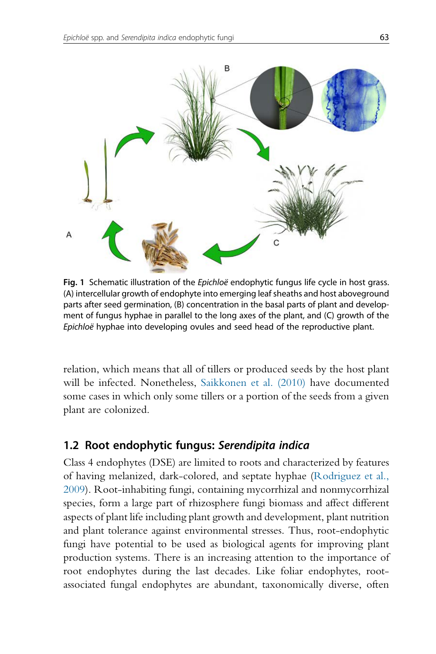

Fig. 1 Schematic illustration of the *Epichloë* endophytic fungus life cycle in host grass. (A) intercellular growth of endophyte into emerging leaf sheaths and host aboveground parts after seed germination, (B) concentration in the basal parts of plant and development of fungus hyphae in parallel to the long axes of the plant, and (C) growth of the Epichloë hyphae into developing ovules and seed head of the reproductive plant.

relation, which means that all of tillers or produced seeds by the host plant will be infected. Nonetheless, Saikkonen et al. (2010) have documented some cases in which only some tillers or a portion of the seeds from a given plant are colonized.

## 1.2 Root endophytic fungus: Serendipita indica

Class 4 endophytes (DSE) are limited to roots and characterized by features of having melanized, dark-colored, and septate hyphae (Rodriguez et al., 2009). Root-inhabiting fungi, containing mycorrhizal and nonmycorrhizal species, form a large part of rhizosphere fungi biomass and affect different aspects of plant life including plant growth and development, plant nutrition and plant tolerance against environmental stresses. Thus, root-endophytic fungi have potential to be used as biological agents for improving plant production systems. There is an increasing attention to the importance of root endophytes during the last decades. Like foliar endophytes, rootassociated fungal endophytes are abundant, taxonomically diverse, often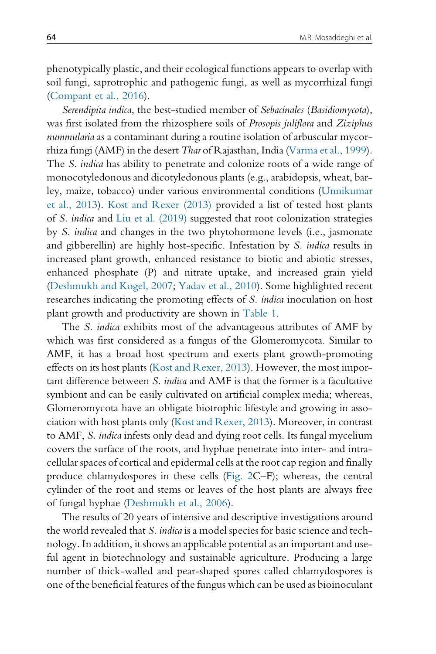phenotypically plastic, and their ecological functions appears to overlap with soil fungi, saprotrophic and pathogenic fungi, as well as mycorrhizal fungi (Compant et al., 2016).

Serendipita indica, the best-studied member of Sebacinales (Basidiomycota), was first isolated from the rhizosphere soils of Prosopis juliflora and Ziziphus nummularia as a contaminant during a routine isolation of arbuscular mycorrhiza fungi (AMF) in the desert Thar of Rajasthan, India (Varma et al., 1999). The S. indica has ability to penetrate and colonize roots of a wide range of monocotyledonous and dicotyledonous plants (e.g., arabidopsis, wheat, barley, maize, tobacco) under various environmental conditions (Unnikumar et al., 2013). Kost and Rexer (2013) provided a list of tested host plants of S. indica and Liu et al. (2019) suggested that root colonization strategies by S. indica and changes in the two phytohormone levels (i.e., jasmonate and gibberellin) are highly host-specific. Infestation by S. indica results in increased plant growth, enhanced resistance to biotic and abiotic stresses, enhanced phosphate (P) and nitrate uptake, and increased grain yield (Deshmukh and Kogel, 2007; Yadav et al., 2010). Some highlighted recent researches indicating the promoting effects of S. indica inoculation on host plant growth and productivity are shown in Table 1.

The *S. indica* exhibits most of the advantageous attributes of AMF by which was first considered as a fungus of the Glomeromycota. Similar to AMF, it has a broad host spectrum and exerts plant growth-promoting effects on its host plants (Kost and Rexer, 2013). However, the most important difference between S. indica and AMF is that the former is a facultative symbiont and can be easily cultivated on artificial complex media; whereas, Glomeromycota have an obligate biotrophic lifestyle and growing in association with host plants only (Kost and Rexer, 2013). Moreover, in contrast to AMF, S. indica infests only dead and dying root cells. Its fungal mycelium covers the surface of the roots, and hyphae penetrate into inter- and intracellular spaces of cortical and epidermal cells at the root cap region and finally produce chlamydospores in these cells (Fig. 2C–F); whereas, the central cylinder of the root and stems or leaves of the host plants are always free of fungal hyphae (Deshmukh et al., 2006).

The results of 20 years of intensive and descriptive investigations around the world revealed that S. indica is a model species for basic science and technology. In addition, it shows an applicable potential as an important and useful agent in biotechnology and sustainable agriculture. Producing a large number of thick-walled and pear-shaped spores called chlamydospores is one of the beneficial features of the fungus which can be used as bioinoculant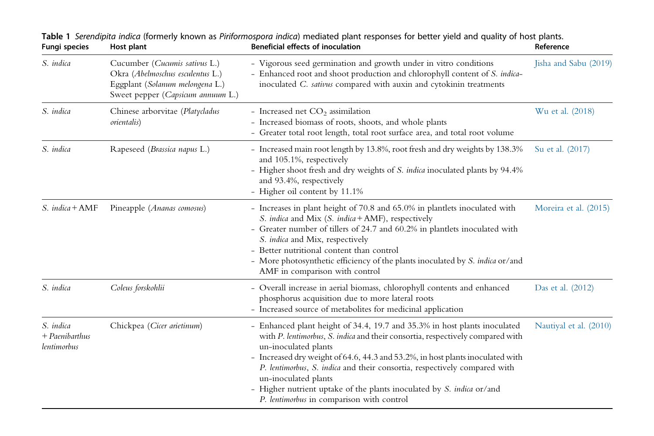| Fungi species                                | Host plant                                                                                                                                | <b>Beneficial effects of inoculation</b>                                                                                                                                                                                                                                                                                                                                                                                                                                                         | Reference              |
|----------------------------------------------|-------------------------------------------------------------------------------------------------------------------------------------------|--------------------------------------------------------------------------------------------------------------------------------------------------------------------------------------------------------------------------------------------------------------------------------------------------------------------------------------------------------------------------------------------------------------------------------------------------------------------------------------------------|------------------------|
| S. indica                                    | Cucumber (Cucumis sativus L.)<br>Okra (Abelmoschus esculentus L.)<br>Eggplant (Solanum melongena L.)<br>Sweet pepper (Capsicum annuum L.) | - Vigorous seed germination and growth under in vitro conditions<br>- Enhanced root and shoot production and chlorophyll content of S. indica-<br>inoculated C. sativus compared with auxin and cytokinin treatments                                                                                                                                                                                                                                                                             | Jisha and Sabu (2019)  |
| S. indica                                    | Chinese arborvitae (Platycladus<br><i>orientalis</i> )                                                                                    | - Increased net $CO2$ assimilation<br>- Increased biomass of roots, shoots, and whole plants<br>- Greater total root length, total root surface area, and total root volume                                                                                                                                                                                                                                                                                                                      | Wu et al. (2018)       |
| S. indica                                    | Rapeseed (Brassica napus L.)                                                                                                              | - Increased main root length by 13.8%, root fresh and dry weights by 138.3%<br>and 105.1%, respectively<br>- Higher shoot fresh and dry weights of S. indica inoculated plants by 94.4%<br>and 93.4%, respectively<br>- Higher oil content by 11.1%                                                                                                                                                                                                                                              | Su et al. (2017)       |
| S. indica + AMF                              | Pineapple (Ananas comosus)                                                                                                                | - Increases in plant height of 70.8 and 65.0% in plantlets inoculated with<br>S. indica and Mix (S. indica + AMF), respectively<br>- Greater number of tillers of 24.7 and 60.2% in plantlets inoculated with<br>S. indica and Mix, respectively<br>- Better nutritional content than control<br>- More photosynthetic efficiency of the plants inoculated by S. indica or/and<br>AMF in comparison with control                                                                                 | Moreira et al. (2015)  |
| S. indica                                    | Coleus forskohlii                                                                                                                         | - Overall increase in aerial biomass, chlorophyll contents and enhanced<br>phosphorus acquisition due to more lateral roots<br>- Increased source of metabolites for medicinal application                                                                                                                                                                                                                                                                                                       | Das et al. (2012)      |
| S. indica<br>$+$ Paenibarthus<br>lentimorbus | Chickpea (Cicer arietinum)                                                                                                                | - Enhanced plant height of 34.4, 19.7 and 35.3% in host plants inoculated<br>with P. lentimorbus, S. indica and their consortia, respectively compared with<br>un-inoculated plants<br>- Increased dry weight of 64.6, 44.3 and 53.2%, in host plants inoculated with<br>P. lentimorbus, S. indica and their consortia, respectively compared with<br>un-inoculated plants<br>- Higher nutrient uptake of the plants inoculated by S. indica or/and<br>P. lentimorbus in comparison with control | Nautiyal et al. (2010) |

|               |            | Table 1 Serendipita indica (formerly known as Piriformospora indica) mediated plant responses for better yield and quality of host plants. |           |
|---------------|------------|--------------------------------------------------------------------------------------------------------------------------------------------|-----------|
| Fungi species | Host plant | <b>Beneficial effects of inoculation</b>                                                                                                   | Reference |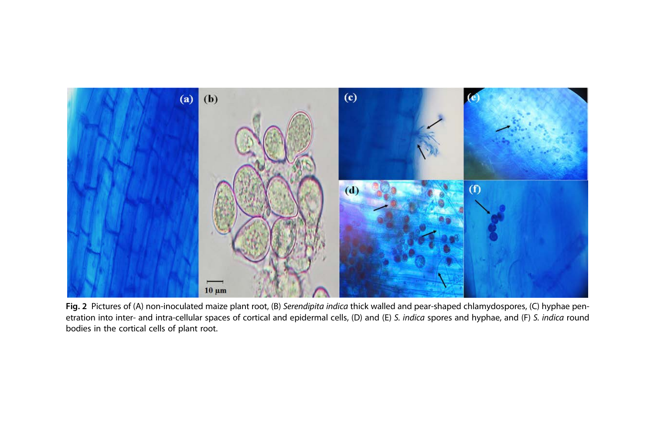

Fig. 2 Pictures of (A) non-inoculated maize plant root, (B) Serendipita indica thick walled and pear-shaped chlamydospores, (C) hyphae penetration into inter- and intra-cellular spaces of cortical and epidermal cells, (D) and (E) S. indica spores and hyphae, and (F) S. indica round bodies in the cortical cells of plant root.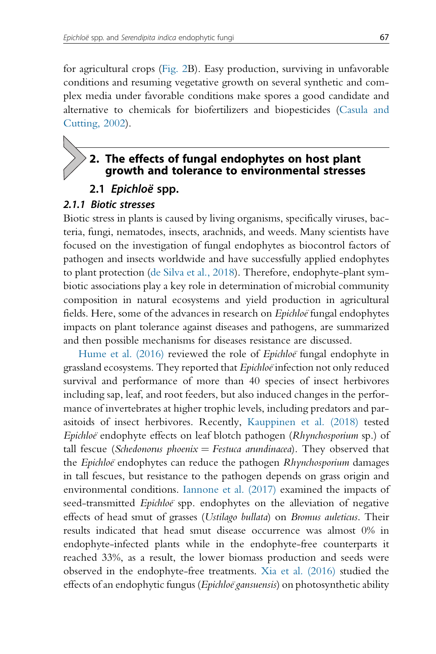for agricultural crops (Fig. 2B). Easy production, surviving in unfavorable conditions and resuming vegetative growth on several synthetic and complex media under favorable conditions make spores a good candidate and alternative to chemicals for biofertilizers and biopesticides (Casula and Cutting, 2002).

# 2. The effects of fungal endophytes on host plant growth and tolerance to environmental stresses

2.1 Epichloë spp.

#### 2.1.1 Biotic stresses

Biotic stress in plants is caused by living organisms, specifically viruses, bacteria, fungi, nematodes, insects, arachnids, and weeds. Many scientists have focused on the investigation of fungal endophytes as biocontrol factors of pathogen and insects worldwide and have successfully applied endophytes to plant protection (de Silva et al., 2018). Therefore, endophyte-plant symbiotic associations play a key role in determination of microbial community composition in natural ecosystems and yield production in agricultural fields. Here, some of the advances in research on Epichloe fungal endophytes impacts on plant tolerance against diseases and pathogens, are summarized and then possible mechanisms for diseases resistance are discussed.

Hume et al. (2016) reviewed the role of *Epichloë* fungal endophyte in grassland ecosystems. They reported that Epichloe infection not only reduced survival and performance of more than 40 species of insect herbivores including sap, leaf, and root feeders, but also induced changes in the performance of invertebrates at higher trophic levels, including predators and parasitoids of insect herbivores. Recently, Kauppinen et al. (2018) tested Epichloe endophyte effects on leaf blotch pathogen (Rhynchosporium sp.) of tall fescue (Schedonorus phoenix = Festuca arundinacea). They observed that the Epichloe endophytes can reduce the pathogen Rhynchosporium damages in tall fescues, but resistance to the pathogen depends on grass origin and environmental conditions. Iannone et al. (2017) examined the impacts of seed-transmitted *Epichloe* spp. endophytes on the alleviation of negative effects of head smut of grasses (Ustilago bullata) on Bromus auleticus. Their results indicated that head smut disease occurrence was almost 0% in endophyte-infected plants while in the endophyte-free counterparts it reached 33%, as a result, the lower biomass production and seeds were observed in the endophyte-free treatments. Xia et al. (2016) studied the effects of an endophytic fungus (Epichloë gansuensis) on photosynthetic ability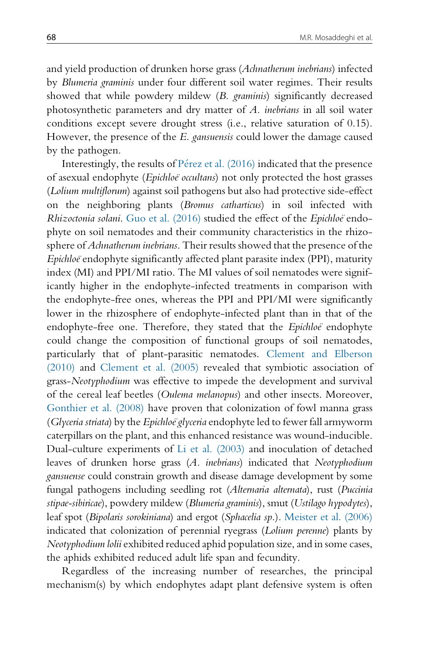and yield production of drunken horse grass (Achnatherum inebrians) infected by Blumeria graminis under four different soil water regimes. Their results showed that while powdery mildew (B. graminis) significantly decreased photosynthetic parameters and dry matter of A. inebrians in all soil water conditions except severe drought stress (i.e., relative saturation of 0.15). However, the presence of the E. gansuensis could lower the damage caused by the pathogen.

Interestingly, the results of  $P$ érez et al. (2016) indicated that the presence of asexual endophyte (Epichloe occultans) not only protected the host grasses (Lolium multiflorum) against soil pathogens but also had protective side-effect on the neighboring plants (Bromus catharticus) in soil infected with Rhizoctonia solani. Guo et al. (2016) studied the effect of the Epichloë endophyte on soil nematodes and their community characteristics in the rhizosphere of Achnatherum inebrians. Their results showed that the presence of the Epichloe endophyte significantly affected plant parasite index (PPI), maturity index (MI) and PPI/MI ratio. The MI values of soil nematodes were significantly higher in the endophyte-infected treatments in comparison with the endophyte-free ones, whereas the PPI and PPI/MI were significantly lower in the rhizosphere of endophyte-infected plant than in that of the endophyte-free one. Therefore, they stated that the *Epichloë* endophyte could change the composition of functional groups of soil nematodes, particularly that of plant-parasitic nematodes. Clement and Elberson (2010) and Clement et al. (2005) revealed that symbiotic association of grass-Neotyphodium was effective to impede the development and survival of the cereal leaf beetles (Oulema melanopus) and other insects. Moreover, Gonthier et al. (2008) have proven that colonization of fowl manna grass (Glyceria striata) by the Epichloe glyceria endophyte led to fewer fall armyworm caterpillars on the plant, and this enhanced resistance was wound-inducible. Dual-culture experiments of Li et al. (2003) and inoculation of detached leaves of drunken horse grass (A. inebrians) indicated that Neotyphodium gansuense could constrain growth and disease damage development by some fungal pathogens including seedling rot (Alternaria alternata), rust (Puccinia stipae-sibiricae), powdery mildew (Blumeria graminis), smut (Ustilago hypodytes), leaf spot (Bipolaris sorokiniana) and ergot (Sphacelia sp.). Meister et al. (2006) indicated that colonization of perennial ryegrass (Lolium perenne) plants by Neotyphodium lolii exhibited reduced aphid population size, and in some cases, the aphids exhibited reduced adult life span and fecundity.

Regardless of the increasing number of researches, the principal mechanism(s) by which endophytes adapt plant defensive system is often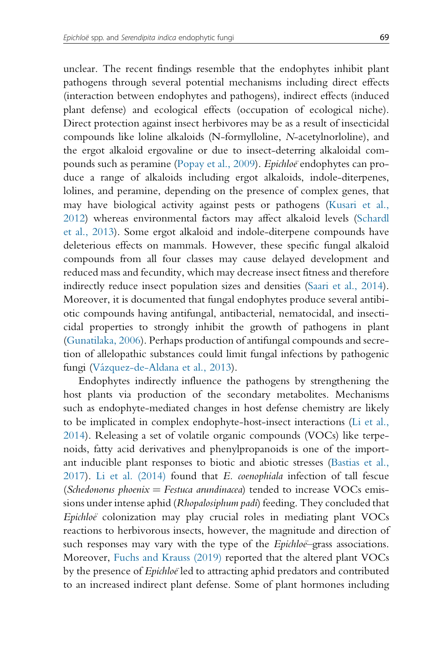unclear. The recent findings resemble that the endophytes inhibit plant pathogens through several potential mechanisms including direct effects (interaction between endophytes and pathogens), indirect effects (induced plant defense) and ecological effects (occupation of ecological niche). Direct protection against insect herbivores may be as a result of insecticidal compounds like loline alkaloids (N-formylloline, N-acetylnorloline), and the ergot alkaloid ergovaline or due to insect-deterring alkaloidal compounds such as peramine (Popay et al., 2009). Epichloe endophytes can produce a range of alkaloids including ergot alkaloids, indole-diterpenes, lolines, and peramine, depending on the presence of complex genes, that may have biological activity against pests or pathogens (Kusari et al., 2012) whereas environmental factors may affect alkaloid levels (Schardl et al., 2013). Some ergot alkaloid and indole-diterpene compounds have deleterious effects on mammals. However, these specific fungal alkaloid compounds from all four classes may cause delayed development and reduced mass and fecundity, which may decrease insect fitness and therefore indirectly reduce insect population sizes and densities (Saari et al., 2014). Moreover, it is documented that fungal endophytes produce several antibiotic compounds having antifungal, antibacterial, nematocidal, and insecticidal properties to strongly inhibit the growth of pathogens in plant (Gunatilaka, 2006). Perhaps production of antifungal compounds and secretion of allelopathic substances could limit fungal infections by pathogenic fungi (Vázquez-de-Aldana et al., 2013).

Endophytes indirectly influence the pathogens by strengthening the host plants via production of the secondary metabolites. Mechanisms such as endophyte-mediated changes in host defense chemistry are likely to be implicated in complex endophyte-host-insect interactions (Li et al., 2014). Releasing a set of volatile organic compounds (VOCs) like terpenoids, fatty acid derivatives and phenylpropanoids is one of the important inducible plant responses to biotic and abiotic stresses (Bastias et al., 2017). Li et al.  $(2014)$  found that E. *coenophiala* infection of tall fescue (Schedonorus phoenix  $=$  Festuca arundinacea) tended to increase VOCs emissions under intense aphid (Rhopalosiphum padi) feeding. They concluded that  $Epichloë$  colonization may play crucial roles in mediating plant  $VOCs$ reactions to herbivorous insects, however, the magnitude and direction of such responses may vary with the type of the *Epichloe*–grass associations. Moreover, Fuchs and Krauss (2019) reported that the altered plant VOCs by the presence of *Epichloe* led to attracting aphid predators and contributed to an increased indirect plant defense. Some of plant hormones including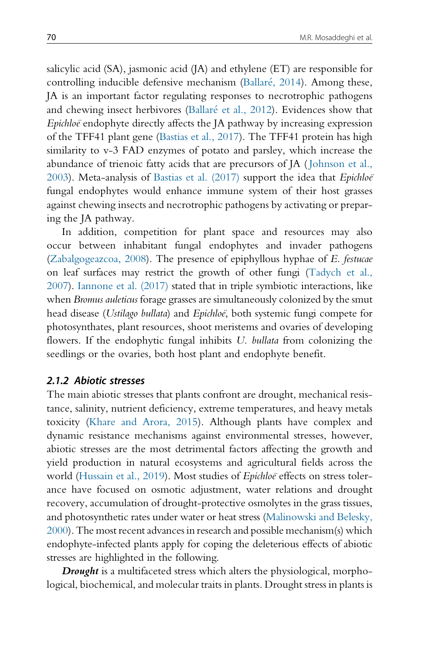salicylic acid (SA), jasmonic acid (JA) and ethylene (ET) are responsible for controlling inducible defensive mechanism (Ballaré, 2014). Among these, JA is an important factor regulating responses to necrotrophic pathogens and chewing insect herbivores (Ballaré et al., 2012). Evidences show that Epichloe endophyte directly affects the JA pathway by increasing expression of the TFF41 plant gene (Bastias et al., 2017). The TFF41 protein has high similarity to v-3 FAD enzymes of potato and parsley, which increase the abundance of trienoic fatty acids that are precursors of JA ( Johnson et al., 2003). Meta-analysis of Bastias et al. (2017) support the idea that Epichloë fungal endophytes would enhance immune system of their host grasses against chewing insects and necrotrophic pathogens by activating or preparing the JA pathway.

In addition, competition for plant space and resources may also occur between inhabitant fungal endophytes and invader pathogens (Zabalgogeazcoa, 2008). The presence of epiphyllous hyphae of E. festucae on leaf surfaces may restrict the growth of other fungi (Tadych et al., 2007). Iannone et al. (2017) stated that in triple symbiotic interactions, like when Bromus auleticus forage grasses are simultaneously colonized by the smut head disease (Ustilago bullata) and Epichloë, both systemic fungi compete for photosynthates, plant resources, shoot meristems and ovaries of developing flowers. If the endophytic fungal inhibits U. bullata from colonizing the seedlings or the ovaries, both host plant and endophyte benefit.

#### 2.1.2 Abiotic stresses

The main abiotic stresses that plants confront are drought, mechanical resistance, salinity, nutrient deficiency, extreme temperatures, and heavy metals toxicity (Khare and Arora, 2015). Although plants have complex and dynamic resistance mechanisms against environmental stresses, however, abiotic stresses are the most detrimental factors affecting the growth and yield production in natural ecosystems and agricultural fields across the world (Hussain et al., 2019). Most studies of Epichloe effects on stress tolerance have focused on osmotic adjustment, water relations and drought recovery, accumulation of drought-protective osmolytes in the grass tissues, and photosynthetic rates under water or heat stress (Malinowski and Belesky, 2000). The most recent advances in research and possible mechanism(s) which endophyte-infected plants apply for coping the deleterious effects of abiotic stresses are highlighted in the following.

**Drought** is a multifaceted stress which alters the physiological, morphological, biochemical, and molecular traits in plants. Drought stress in plants is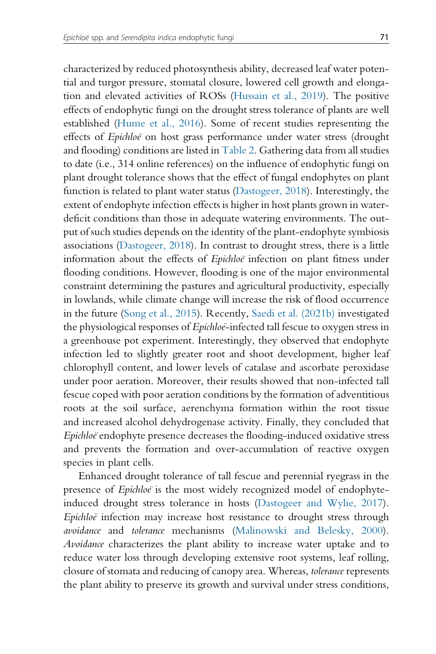characterized by reduced photosynthesis ability, decreased leaf water potential and turgor pressure, stomatal closure, lowered cell growth and elongation and elevated activities of ROSs (Hussain et al., 2019). The positive effects of endophytic fungi on the drought stress tolerance of plants are well established (Hume et al., 2016). Some of recent studies representing the effects of Epichloe on host grass performance under water stress (drought and flooding) conditions are listed in Table 2. Gathering data from all studies to date (i.e., 314 online references) on the influence of endophytic fungi on plant drought tolerance shows that the effect of fungal endophytes on plant function is related to plant water status (Dastogeer, 2018). Interestingly, the extent of endophyte infection effects is higher in host plants grown in waterdeficit conditions than those in adequate watering environments. The output of such studies depends on the identity of the plant-endophyte symbiosis associations (Dastogeer, 2018). In contrast to drought stress, there is a little information about the effects of Epichloe infection on plant fitness under flooding conditions. However, flooding is one of the major environmental constraint determining the pastures and agricultural productivity, especially in lowlands, while climate change will increase the risk of flood occurrence in the future (Song et al., 2015). Recently, Saedi et al. (2021b) investigated the physiological responses of *Epichloe*-infected tall fescue to oxygen stress in a greenhouse pot experiment. Interestingly, they observed that endophyte infection led to slightly greater root and shoot development, higher leaf chlorophyll content, and lower levels of catalase and ascorbate peroxidase under poor aeration. Moreover, their results showed that non-infected tall fescue coped with poor aeration conditions by the formation of adventitious roots at the soil surface, aerenchyma formation within the root tissue and increased alcohol dehydrogenase activity. Finally, they concluded that Epichloe endophyte presence decreases the flooding-induced oxidative stress and prevents the formation and over-accumulation of reactive oxygen species in plant cells.

Enhanced drought tolerance of tall fescue and perennial ryegrass in the presence of *Epichloe* is the most widely recognized model of endophyteinduced drought stress tolerance in hosts (Dastogeer and Wylie, 2017). Epichloe infection may increase host resistance to drought stress through avoidance and tolerance mechanisms (Malinowski and Belesky, 2000). Avoidance characterizes the plant ability to increase water uptake and to reduce water loss through developing extensive root systems, leaf rolling, closure of stomata and reducing of canopy area. Whereas, tolerance represents the plant ability to preserve its growth and survival under stress conditions,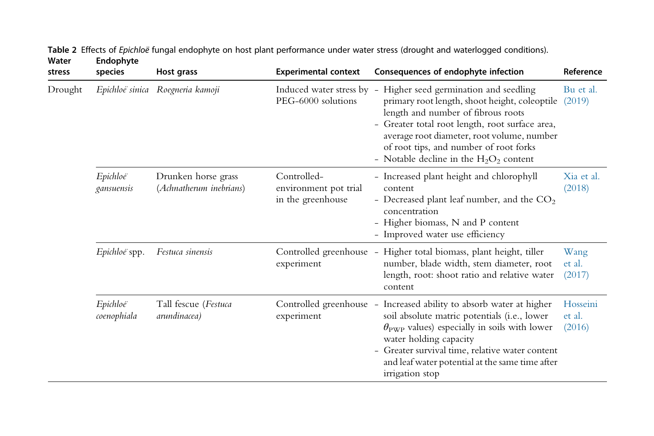| stress  | species                 | Host grass                                     | <b>Experimental context</b>                               | Consequences of endophyte infection                                                                                                                                                                                                                                                                                                           | Reference                    |
|---------|-------------------------|------------------------------------------------|-----------------------------------------------------------|-----------------------------------------------------------------------------------------------------------------------------------------------------------------------------------------------------------------------------------------------------------------------------------------------------------------------------------------------|------------------------------|
| Drought |                         | Epichloë sinica Roegneria kamoji               | PEG-6000 solutions                                        | Induced water stress by - Higher seed germination and seedling<br>primary root length, shoot height, coleoptile<br>length and number of fibrous roots<br>- Greater total root length, root surface area,<br>average root diameter, root volume, number<br>of root tips, and number of root forks<br>- Notable decline in the $H_2O_2$ content | Bu et al.<br>(2019)          |
|         | Epichloë<br>gansuensis  | Drunken horse grass<br>(Achnatherum inebrians) | Controlled-<br>environment pot trial<br>in the greenhouse | - Increased plant height and chlorophyll<br>content<br>- Decreased plant leaf number, and the $CO2$<br>concentration<br>- Higher biomass, N and P content<br>- Improved water use efficiency                                                                                                                                                  | Xia et al.<br>(2018)         |
|         | Epichloë spp.           | Festuca sinensis                               | experiment                                                | Controlled greenhouse - Higher total biomass, plant height, tiller<br>number, blade width, stem diameter, root<br>length, root: shoot ratio and relative water<br>content                                                                                                                                                                     | Wang<br>et al.<br>(2017)     |
|         | Epichloë<br>coenophiala | Tall fescue (Festuca<br>arundinacea)           | experiment                                                | Controlled greenhouse - Increased ability to absorb water at higher<br>soil absolute matric potentials (i.e., lower<br>$\theta_{\text{PWP}}$ values) especially in soils with lower<br>water holding capacity<br>- Greater survival time, relative water content<br>and leaf water potential at the same time after<br>irrigation stop        | Hosseini<br>et al.<br>(2016) |

Table 2 Effects of Epichloë fungal endophyte on host plant performance under water stress (drought and waterlogged conditions). Water Endophyte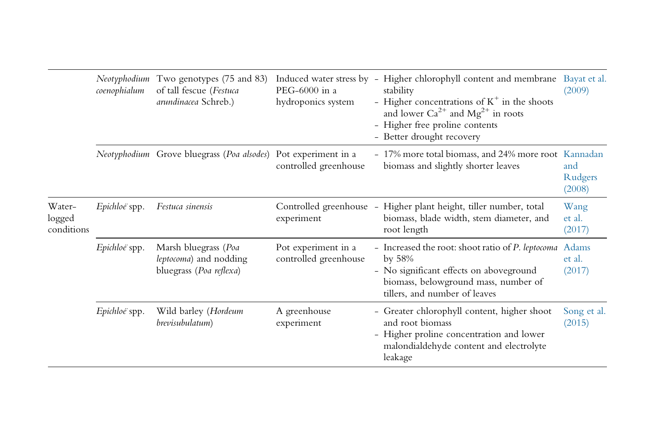|                                | coenophialum  | Neotyphodium Two genotypes (75 and 83)<br>of tall fescue (Festuca<br>arundinacea Schreb.) | $PEG-6000$ in a<br>hydroponics system        | Induced water stress by - Higher chlorophyll content and membrane Bayat et al.<br>stability<br>- Higher concentrations of $K^+$ in the shoots<br>and lower $Ca^{2+}$ and $Mg^{2+}$ in roots<br>- Higher free proline contents<br>- Better drought recovery | (2009)                    |
|--------------------------------|---------------|-------------------------------------------------------------------------------------------|----------------------------------------------|------------------------------------------------------------------------------------------------------------------------------------------------------------------------------------------------------------------------------------------------------------|---------------------------|
|                                |               | <i>Neotyphodium</i> Grove bluegrass ( <i>Poa alsodes</i> ) Pot experiment in a            | controlled greenhouse                        | - 17% more total biomass, and 24% more root Kannadan<br>biomass and slightly shorter leaves                                                                                                                                                                | and<br>Rudgers<br>(2008)  |
| Water-<br>logged<br>conditions | Epichloë spp. | Festuca sinensis                                                                          | experiment                                   | Controlled greenhouse - Higher plant height, tiller number, total<br>biomass, blade width, stem diameter, and<br>root length                                                                                                                               | Wang<br>et al.<br>(2017)  |
|                                | Epichloe spp. | Marsh bluegrass (Poa<br>leptocoma) and nodding<br>bluegrass (Poa reflexa)                 | Pot experiment in a<br>controlled greenhouse | - Increased the root: shoot ratio of P. leptocoma<br>by $58%$<br>- No significant effects on aboveground<br>biomass, belowground mass, number of<br>tillers, and number of leaves                                                                          | Adams<br>et al.<br>(2017) |
|                                | Epichloë spp. | Wild barley (Hordeum<br>brevisubulatum)                                                   | A greenhouse<br>experiment                   | - Greater chlorophyll content, higher shoot<br>and root biomass<br>- Higher proline concentration and lower<br>malondialdehyde content and electrolyte<br>leakage                                                                                          | Song et al.<br>(2015)     |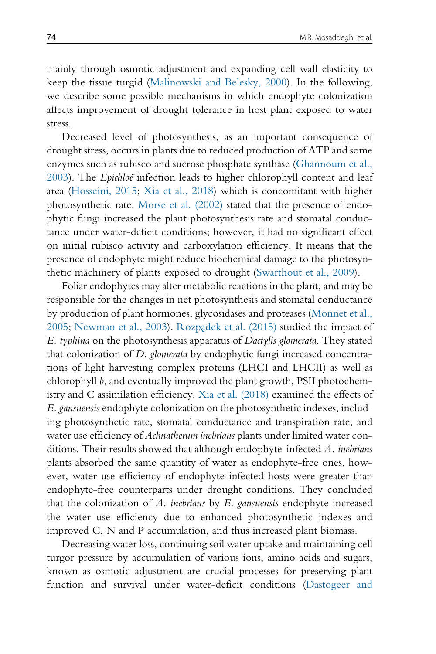mainly through osmotic adjustment and expanding cell wall elasticity to keep the tissue turgid (Malinowski and Belesky, 2000). In the following, we describe some possible mechanisms in which endophyte colonization affects improvement of drought tolerance in host plant exposed to water stress.

Decreased level of photosynthesis, as an important consequence of drought stress, occurs in plants due to reduced production of ATP and some enzymes such as rubisco and sucrose phosphate synthase (Ghannoum et al., 2003). The Epichloe infection leads to higher chlorophyll content and leaf area (Hosseini, 2015; Xia et al., 2018) which is concomitant with higher photosynthetic rate. Morse et al. (2002) stated that the presence of endophytic fungi increased the plant photosynthesis rate and stomatal conductance under water-deficit conditions; however, it had no significant effect on initial rubisco activity and carboxylation efficiency. It means that the presence of endophyte might reduce biochemical damage to the photosynthetic machinery of plants exposed to drought (Swarthout et al., 2009).

Foliar endophytes may alter metabolic reactions in the plant, and may be responsible for the changes in net photosynthesis and stomatal conductance by production of plant hormones, glycosidases and proteases (Monnet et al., 2005; Newman et al., 2003). Rozpadek et al. (2015) studied the impact of E. typhina on the photosynthesis apparatus of Dactylis glomerata. They stated that colonization of D. glomerata by endophytic fungi increased concentrations of light harvesting complex proteins (LHCI and LHCII) as well as chlorophyll b, and eventually improved the plant growth, PSII photochemistry and C assimilation efficiency. Xia et al. (2018) examined the effects of E. gansuensis endophyte colonization on the photosynthetic indexes, including photosynthetic rate, stomatal conductance and transpiration rate, and water use efficiency of Achnatherum inebrians plants under limited water conditions. Their results showed that although endophyte-infected A. inebrians plants absorbed the same quantity of water as endophyte-free ones, however, water use efficiency of endophyte-infected hosts were greater than endophyte-free counterparts under drought conditions. They concluded that the colonization of A. inebrians by  $E$ . gansuensis endophyte increased the water use efficiency due to enhanced photosynthetic indexes and improved C, N and P accumulation, and thus increased plant biomass.

Decreasing water loss, continuing soil water uptake and maintaining cell turgor pressure by accumulation of various ions, amino acids and sugars, known as osmotic adjustment are crucial processes for preserving plant function and survival under water-deficit conditions (Dastogeer and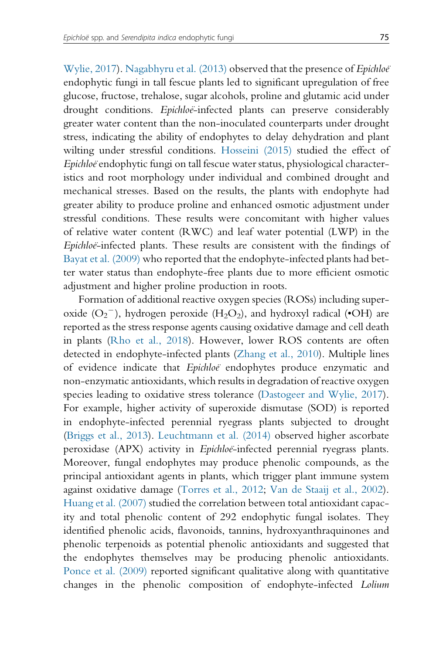Wylie, 2017). Nagabhyru et al. (2013) observed that the presence of *Epichloë* endophytic fungi in tall fescue plants led to significant upregulation of free glucose, fructose, trehalose, sugar alcohols, proline and glutamic acid under drought conditions. Epichloe-infected plants can preserve considerably greater water content than the non-inoculated counterparts under drought stress, indicating the ability of endophytes to delay dehydration and plant wilting under stressful conditions. Hosseini (2015) studied the effect of Epichloe endophytic fungi on tall fescue water status, physiological characteristics and root morphology under individual and combined drought and mechanical stresses. Based on the results, the plants with endophyte had greater ability to produce proline and enhanced osmotic adjustment under stressful conditions. These results were concomitant with higher values of relative water content (RWC) and leaf water potential (LWP) in the Epichloe-infected plants. These results are consistent with the findings of Bayat et al. (2009) who reported that the endophyte-infected plants had better water status than endophyte-free plants due to more efficient osmotic adjustment and higher proline production in roots.

Formation of additional reactive oxygen species (ROSs) including superoxide  $(O_2^-)$ , hydrogen peroxide (H<sub>2</sub>O<sub>2</sub>), and hydroxyl radical ( $O$ H) are reported as the stress response agents causing oxidative damage and cell death in plants (Rho et al., 2018). However, lower ROS contents are often detected in endophyte-infected plants (Zhang et al., 2010). Multiple lines of evidence indicate that Epichloe endophytes produce enzymatic and non-enzymatic antioxidants, which results in degradation of reactive oxygen species leading to oxidative stress tolerance (Dastogeer and Wylie, 2017). For example, higher activity of superoxide dismutase (SOD) is reported in endophyte-infected perennial ryegrass plants subjected to drought (Briggs et al., 2013). Leuchtmann et al. (2014) observed higher ascorbate peroxidase (APX) activity in Epichloe-infected perennial ryegrass plants. Moreover, fungal endophytes may produce phenolic compounds, as the principal antioxidant agents in plants, which trigger plant immune system against oxidative damage (Torres et al., 2012; Van de Staaij et al., 2002). Huang et al. (2007) studied the correlation between total antioxidant capacity and total phenolic content of 292 endophytic fungal isolates. They identified phenolic acids, flavonoids, tannins, hydroxyanthraquinones and phenolic terpenoids as potential phenolic antioxidants and suggested that the endophytes themselves may be producing phenolic antioxidants. Ponce et al. (2009) reported significant qualitative along with quantitative changes in the phenolic composition of endophyte-infected Lolium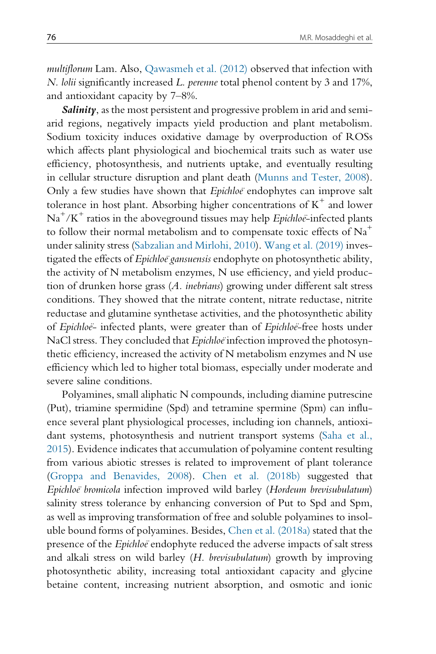multiflorum Lam. Also, Qawasmeh et al. (2012) observed that infection with N. lolii significantly increased L. perenne total phenol content by 3 and 17%, and antioxidant capacity by 7–8%.

Salinity, as the most persistent and progressive problem in arid and semiarid regions, negatively impacts yield production and plant metabolism. Sodium toxicity induces oxidative damage by overproduction of ROSs which affects plant physiological and biochemical traits such as water use efficiency, photosynthesis, and nutrients uptake, and eventually resulting in cellular structure disruption and plant death (Munns and Tester, 2008). Only a few studies have shown that Epichloe endophytes can improve salt tolerance in host plant. Absorbing higher concentrations of  $K^+$  and lower  $Na<sup>+</sup>/K<sup>+</sup>$  ratios in the aboveground tissues may help *Epichloe*-infected plants to follow their normal metabolism and to compensate toxic effects of  $Na<sup>+</sup>$ under salinity stress (Sabzalian and Mirlohi, 2010). Wang et al. (2019) investigated the effects of Epichloë gansuensis endophyte on photosynthetic ability, the activity of N metabolism enzymes, N use efficiency, and yield production of drunken horse grass (A. inebrians) growing under different salt stress conditions. They showed that the nitrate content, nitrate reductase, nitrite reductase and glutamine synthetase activities, and the photosynthetic ability of Epichloë- infected plants, were greater than of Epichloë-free hosts under NaCl stress. They concluded that Epichloë infection improved the photosynthetic efficiency, increased the activity of N metabolism enzymes and N use efficiency which led to higher total biomass, especially under moderate and severe saline conditions.

Polyamines, small aliphatic N compounds, including diamine putrescine (Put), triamine spermidine (Spd) and tetramine spermine (Spm) can influence several plant physiological processes, including ion channels, antioxidant systems, photosynthesis and nutrient transport systems (Saha et al., 2015). Evidence indicates that accumulation of polyamine content resulting from various abiotic stresses is related to improvement of plant tolerance (Groppa and Benavides, 2008). Chen et al. (2018b) suggested that Epichloe¨ bromicola infection improved wild barley (Hordeum brevisubulatum) salinity stress tolerance by enhancing conversion of Put to Spd and Spm, as well as improving transformation of free and soluble polyamines to insoluble bound forms of polyamines. Besides, Chen et al. (2018a) stated that the presence of the *Epichloe* endophyte reduced the adverse impacts of salt stress and alkali stress on wild barley (H. brevisubulatum) growth by improving photosynthetic ability, increasing total antioxidant capacity and glycine betaine content, increasing nutrient absorption, and osmotic and ionic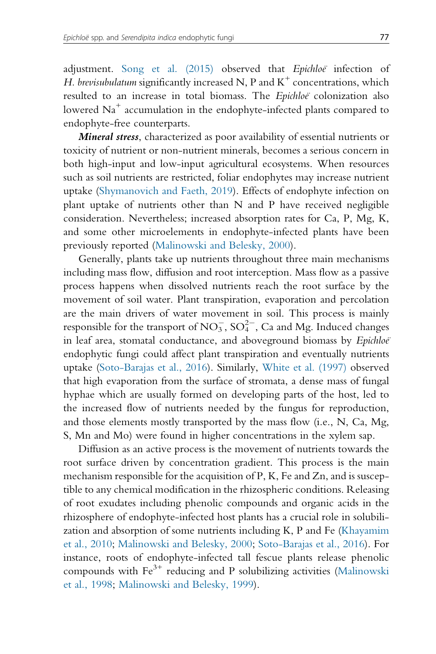adjustment. Song et al. (2015) observed that Epichloë infection of H. brevisubulatum significantly increased N, P and  $K^+$  concentrations, which resulted to an increase in total biomass. The Epichloë colonization also lowered Na<sup>+</sup> accumulation in the endophyte-infected plants compared to endophyte-free counterparts.

Mineral stress, characterized as poor availability of essential nutrients or toxicity of nutrient or non-nutrient minerals, becomes a serious concern in both high-input and low-input agricultural ecosystems. When resources such as soil nutrients are restricted, foliar endophytes may increase nutrient uptake (Shymanovich and Faeth, 2019). Effects of endophyte infection on plant uptake of nutrients other than N and P have received negligible consideration. Nevertheless; increased absorption rates for Ca, P, Mg, K, and some other microelements in endophyte-infected plants have been previously reported (Malinowski and Belesky, 2000).

Generally, plants take up nutrients throughout three main mechanisms including mass flow, diffusion and root interception. Mass flow as a passive process happens when dissolved nutrients reach the root surface by the movement of soil water. Plant transpiration, evaporation and percolation are the main drivers of water movement in soil. This process is mainly responsible for the transport of  $\mathrm{NO_3^-}, \mathrm{SO_4^{2-}}, \mathrm{Ca}$  and Mg. Induced changes in leaf area, stomatal conductance, and aboveground biomass by Epichloë endophytic fungi could affect plant transpiration and eventually nutrients uptake (Soto-Barajas et al., 2016). Similarly, White et al. (1997) observed that high evaporation from the surface of stromata, a dense mass of fungal hyphae which are usually formed on developing parts of the host, led to the increased flow of nutrients needed by the fungus for reproduction, and those elements mostly transported by the mass flow (i.e., N, Ca, Mg, S, Mn and Mo) were found in higher concentrations in the xylem sap.

Diffusion as an active process is the movement of nutrients towards the root surface driven by concentration gradient. This process is the main mechanism responsible for the acquisition of P, K, Fe and Zn, and is susceptible to any chemical modification in the rhizospheric conditions. Releasing of root exudates including phenolic compounds and organic acids in the rhizosphere of endophyte-infected host plants has a crucial role in solubilization and absorption of some nutrients including K, P and Fe (Khayamim et al., 2010; Malinowski and Belesky, 2000; Soto-Barajas et al., 2016). For instance, roots of endophyte-infected tall fescue plants release phenolic compounds with Fe<sup>3+</sup> reducing and P solubilizing activities (Malinowski et al., 1998; Malinowski and Belesky, 1999).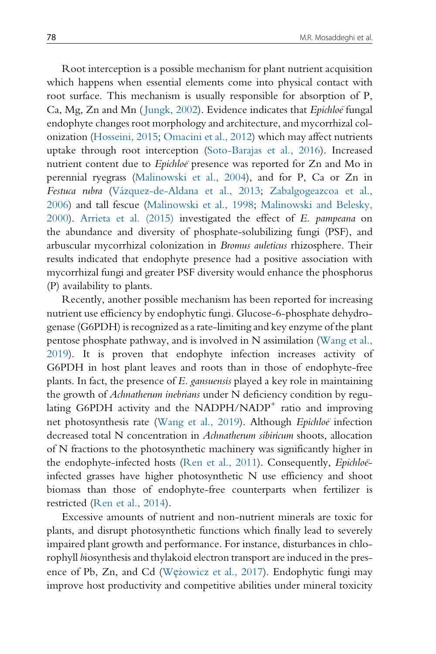Root interception is a possible mechanism for plant nutrient acquisition which happens when essential elements come into physical contact with root surface. This mechanism is usually responsible for absorption of P, Ca, Mg, Zn and Mn (Jungk, 2002). Evidence indicates that Epichloe fungal endophyte changes root morphology and architecture, and mycorrhizal colonization (Hosseini, 2015; Omacini et al., 2012) which may affect nutrients uptake through root interception (Soto-Barajas et al., 2016). Increased nutrient content due to Epichloe presence was reported for Zn and Mo in perennial ryegrass (Malinowski et al., 2004), and for P, Ca or Zn in Festuca rubra (Vázquez-de-Aldana et al., 2013; Zabalgogeazcoa et al., 2006) and tall fescue (Malinowski et al., 1998; Malinowski and Belesky, 2000). Arrieta et al. (2015) investigated the effect of E. pampeana on the abundance and diversity of phosphate-solubilizing fungi (PSF), and arbuscular mycorrhizal colonization in Bromus auleticus rhizosphere. Their results indicated that endophyte presence had a positive association with mycorrhizal fungi and greater PSF diversity would enhance the phosphorus (P) availability to plants.

Recently, another possible mechanism has been reported for increasing nutrient use efficiency by endophytic fungi. Glucose-6-phosphate dehydrogenase (G6PDH) is recognized as a rate-limiting and key enzyme of the plant pentose phosphate pathway, and is involved in N assimilation (Wang et al., 2019). It is proven that endophyte infection increases activity of G6PDH in host plant leaves and roots than in those of endophyte-free plants. In fact, the presence of E. gansuensis played a key role in maintaining the growth of Achnatherum inebrians under N deficiency condition by regulating G6PDH activity and the NADPH/NADP<sup>+</sup> ratio and improving net photosynthesis rate (Wang et al., 2019). Although Epichloë infection decreased total N concentration in Achnatherum sibiricum shoots, allocation of N fractions to the photosynthetic machinery was significantly higher in the endophyte-infected hosts (Ren et al., 2011). Consequently,  $Epihlo\ddot{e}$ infected grasses have higher photosynthetic N use efficiency and shoot biomass than those of endophyte-free counterparts when fertilizer is restricted (Ren et al., 2014).

Excessive amounts of nutrient and non-nutrient minerals are toxic for plants, and disrupt photosynthetic functions which finally lead to severely impaired plant growth and performance. For instance, disturbances in chlorophyll biosynthesis and thylakoid electron transport are induced in the presence of Pb, Zn, and Cd (Wężowicz et al., 2017). Endophytic fungi may improve host productivity and competitive abilities under mineral toxicity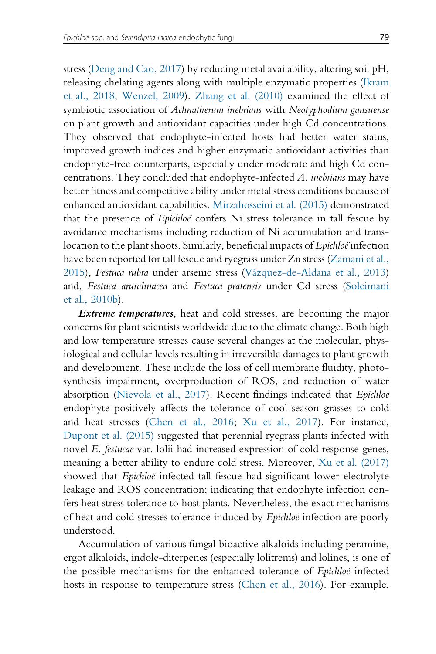stress (Deng and Cao, 2017) by reducing metal availability, altering soil pH, releasing chelating agents along with multiple enzymatic properties (Ikram et al., 2018; Wenzel, 2009). Zhang et al. (2010) examined the effect of symbiotic association of Achnatherum inebrians with Neotyphodium gansuense on plant growth and antioxidant capacities under high Cd concentrations. They observed that endophyte-infected hosts had better water status, improved growth indices and higher enzymatic antioxidant activities than endophyte-free counterparts, especially under moderate and high Cd concentrations. They concluded that endophyte-infected A. inebrians may have better fitness and competitive ability under metal stress conditions because of enhanced antioxidant capabilities. Mirzahosseini et al. (2015) demonstrated that the presence of *Epichloe* confers Ni stress tolerance in tall fescue by avoidance mechanisms including reduction of Ni accumulation and translocation to the plant shoots. Similarly, beneficial impacts of *Epichloe* infection have been reported for tall fescue and ryegrass under Zn stress (Zamani et al., 2015), Festuca rubra under arsenic stress (Vázquez-de-Aldana et al., 2013) and, Festuca arundinacea and Festuca pratensis under Cd stress (Soleimani et al., 2010b).

**Extreme temperatures**, heat and cold stresses, are becoming the major concerns for plant scientists worldwide due to the climate change. Both high and low temperature stresses cause several changes at the molecular, physiological and cellular levels resulting in irreversible damages to plant growth and development. These include the loss of cell membrane fluidity, photosynthesis impairment, overproduction of ROS, and reduction of water absorption (Nievola et al., 2017). Recent findings indicated that Epichloë endophyte positively affects the tolerance of cool-season grasses to cold and heat stresses (Chen et al., 2016; Xu et al., 2017). For instance, Dupont et al. (2015) suggested that perennial ryegrass plants infected with novel E. festucae var. lolii had increased expression of cold response genes, meaning a better ability to endure cold stress. Moreover, Xu et al. (2017) showed that *Epichloë*-infected tall fescue had significant lower electrolyte leakage and ROS concentration; indicating that endophyte infection confers heat stress tolerance to host plants. Nevertheless, the exact mechanisms of heat and cold stresses tolerance induced by *Epichloe* infection are poorly understood.

Accumulation of various fungal bioactive alkaloids including peramine, ergot alkaloids, indole-diterpenes (especially lolitrems) and lolines, is one of the possible mechanisms for the enhanced tolerance of *Epichloe*-infected hosts in response to temperature stress (Chen et al., 2016). For example,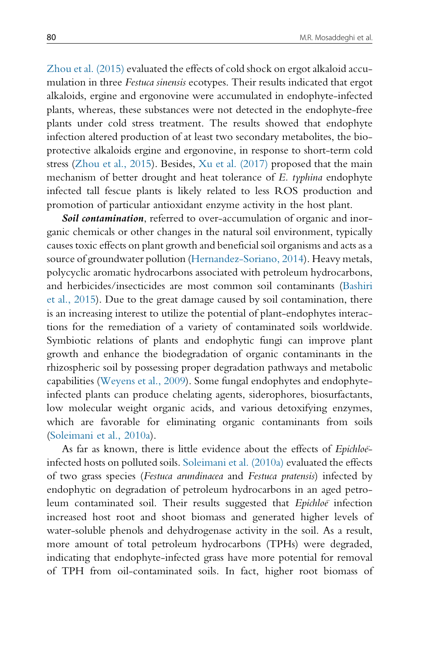Zhou et al. (2015) evaluated the effects of cold shock on ergot alkaloid accumulation in three Festuca sinensis ecotypes. Their results indicated that ergot alkaloids, ergine and ergonovine were accumulated in endophyte-infected plants, whereas, these substances were not detected in the endophyte-free plants under cold stress treatment. The results showed that endophyte infection altered production of at least two secondary metabolites, the bioprotective alkaloids ergine and ergonovine, in response to short-term cold stress (Zhou et al., 2015). Besides, Xu et al. (2017) proposed that the main mechanism of better drought and heat tolerance of E. typhina endophyte infected tall fescue plants is likely related to less ROS production and promotion of particular antioxidant enzyme activity in the host plant.

Soil contamination, referred to over-accumulation of organic and inorganic chemicals or other changes in the natural soil environment, typically causes toxic effects on plant growth and beneficial soil organisms and acts as a source of groundwater pollution (Hernandez-Soriano, 2014). Heavy metals, polycyclic aromatic hydrocarbons associated with petroleum hydrocarbons, and herbicides/insecticides are most common soil contaminants (Bashiri et al., 2015). Due to the great damage caused by soil contamination, there is an increasing interest to utilize the potential of plant-endophytes interactions for the remediation of a variety of contaminated soils worldwide. Symbiotic relations of plants and endophytic fungi can improve plant growth and enhance the biodegradation of organic contaminants in the rhizospheric soil by possessing proper degradation pathways and metabolic capabilities (Weyens et al., 2009). Some fungal endophytes and endophyteinfected plants can produce chelating agents, siderophores, biosurfactants, low molecular weight organic acids, and various detoxifying enzymes, which are favorable for eliminating organic contaminants from soils (Soleimani et al., 2010a).

As far as known, there is little evidence about the effects of *Epichloë*infected hosts on polluted soils. Soleimani et al. (2010a) evaluated the effects of two grass species (Festuca arundinacea and Festuca pratensis) infected by endophytic on degradation of petroleum hydrocarbons in an aged petroleum contaminated soil. Their results suggested that *Epichloe* infection increased host root and shoot biomass and generated higher levels of water-soluble phenols and dehydrogenase activity in the soil. As a result, more amount of total petroleum hydrocarbons (TPHs) were degraded, indicating that endophyte-infected grass have more potential for removal of TPH from oil-contaminated soils. In fact, higher root biomass of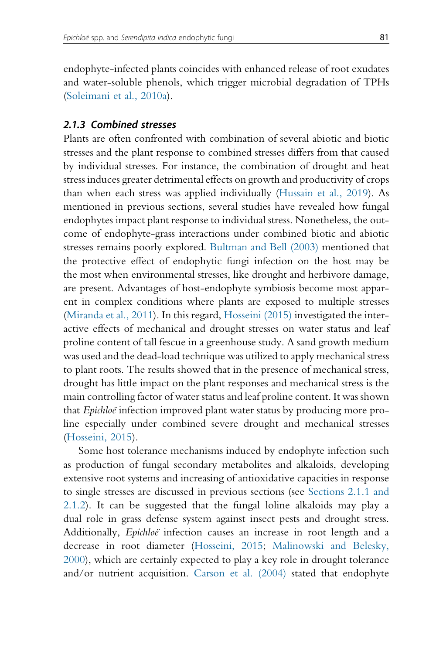endophyte-infected plants coincides with enhanced release of root exudates and water-soluble phenols, which trigger microbial degradation of TPHs (Soleimani et al., 2010a).

#### 2.1.3 Combined stresses

Plants are often confronted with combination of several abiotic and biotic stresses and the plant response to combined stresses differs from that caused by individual stresses. For instance, the combination of drought and heat stress induces greater detrimental effects on growth and productivity of crops than when each stress was applied individually (Hussain et al., 2019). As mentioned in previous sections, several studies have revealed how fungal endophytes impact plant response to individual stress. Nonetheless, the outcome of endophyte-grass interactions under combined biotic and abiotic stresses remains poorly explored. Bultman and Bell (2003) mentioned that the protective effect of endophytic fungi infection on the host may be the most when environmental stresses, like drought and herbivore damage, are present. Advantages of host-endophyte symbiosis become most apparent in complex conditions where plants are exposed to multiple stresses (Miranda et al., 2011). In this regard, Hosseini (2015) investigated the interactive effects of mechanical and drought stresses on water status and leaf proline content of tall fescue in a greenhouse study. A sand growth medium was used and the dead-load technique was utilized to apply mechanical stress to plant roots. The results showed that in the presence of mechanical stress, drought has little impact on the plant responses and mechanical stress is the main controlling factor of water status and leaf proline content. It was shown that *Epichloe* infection improved plant water status by producing more proline especially under combined severe drought and mechanical stresses (Hosseini, 2015).

Some host tolerance mechanisms induced by endophyte infection such as production of fungal secondary metabolites and alkaloids, developing extensive root systems and increasing of antioxidative capacities in response to single stresses are discussed in previous sections (see Sections 2.1.1 and 2.1.2). It can be suggested that the fungal loline alkaloids may play a dual role in grass defense system against insect pests and drought stress. Additionally, *Epichloe* infection causes an increase in root length and a decrease in root diameter (Hosseini, 2015; Malinowski and Belesky, 2000), which are certainly expected to play a key role in drought tolerance and/or nutrient acquisition. Carson et al. (2004) stated that endophyte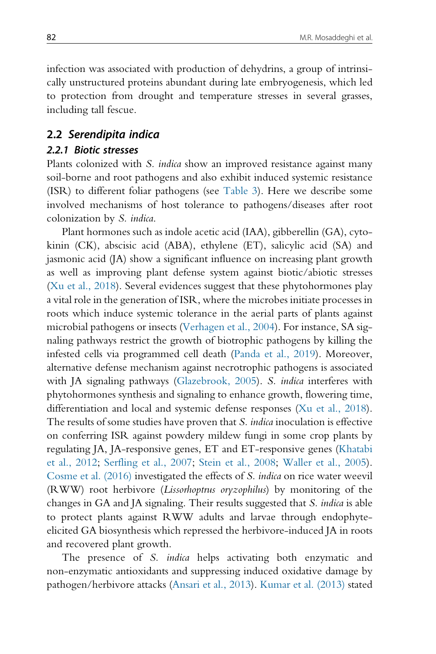infection was associated with production of dehydrins, a group of intrinsically unstructured proteins abundant during late embryogenesis, which led to protection from drought and temperature stresses in several grasses, including tall fescue.

#### 2.2 Serendipita indica

#### 2.2.1 Biotic stresses

Plants colonized with S. indica show an improved resistance against many soil-borne and root pathogens and also exhibit induced systemic resistance (ISR) to different foliar pathogens (see Table 3). Here we describe some involved mechanisms of host tolerance to pathogens/diseases after root colonization by S. indica.

Plant hormones such as indole acetic acid (IAA), gibberellin (GA), cytokinin (CK), abscisic acid (ABA), ethylene (ET), salicylic acid (SA) and jasmonic acid (JA) show a significant influence on increasing plant growth as well as improving plant defense system against biotic/abiotic stresses (Xu et al., 2018). Several evidences suggest that these phytohormones play a vital role in the generation of ISR, where the microbes initiate processes in roots which induce systemic tolerance in the aerial parts of plants against microbial pathogens or insects (Verhagen et al., 2004). For instance, SA signaling pathways restrict the growth of biotrophic pathogens by killing the infested cells via programmed cell death (Panda et al., 2019). Moreover, alternative defense mechanism against necrotrophic pathogens is associated with JA signaling pathways (Glazebrook, 2005). S. indica interferes with phytohormones synthesis and signaling to enhance growth, flowering time, differentiation and local and systemic defense responses (Xu et al., 2018). The results of some studies have proven that *S. indica* inoculation is effective on conferring ISR against powdery mildew fungi in some crop plants by regulating JA, JA-responsive genes, ET and ET-responsive genes (Khatabi et al., 2012; Serfling et al., 2007; Stein et al., 2008; Waller et al., 2005). Cosme et al. (2016) investigated the effects of S. indica on rice water weevil (RWW) root herbivore (Lissorhoptrus oryzophilus) by monitoring of the changes in GA and JA signaling. Their results suggested that S. indica is able to protect plants against RWW adults and larvae through endophyteelicited GA biosynthesis which repressed the herbivore-induced JA in roots and recovered plant growth.

The presence of *S. indica* helps activating both enzymatic and non-enzymatic antioxidants and suppressing induced oxidative damage by pathogen/herbivore attacks (Ansari et al., 2013). Kumar et al. (2013) stated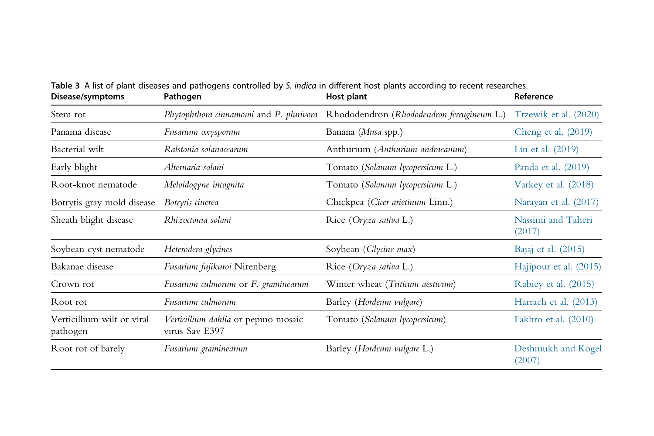| Disease/symptoms                       | Pathogen                                               | Host plant                                 | Reference                    |
|----------------------------------------|--------------------------------------------------------|--------------------------------------------|------------------------------|
| Stem rot                               | Phytophthora cinnamomi and P. plurivora                | Rhododendron (Rhododendron ferrugineum L.) | Trzewik et al. (2020)        |
| Panama disease                         | Fusarium oxysporum                                     | Banana (Musa spp.)                         | Cheng et al. $(2019)$        |
| Bacterial wilt                         | Ralstonia solanacearum                                 | Anthurium (Anthurium andraeanum)           | Lin et al. $(2019)$          |
| Early blight                           | Alternaria solani                                      | Tomato (Solanum lycopersicum L.)           | Panda et al. (2019)          |
| Root-knot nematode                     | Meloidogyne incognita                                  | Tomato (Solanum lycopersicum L.)           | Varkey et al. (2018)         |
| Botrytis gray mold disease             | Botrytis cinerea                                       | Chickpea (Cicer arietinum Linn.)           | Narayan et al. (2017)        |
| Sheath blight disease                  | Rhizoctonia solani                                     | Rice (Oryza sativa L.)                     | Nassimi and Taheri<br>(2017) |
| Soybean cyst nematode                  | Heterodera glycines                                    | Soybean (Glycine max)                      | Bajaj et al. (2015)          |
| Bakanae disease                        | Fusarium fujikuroi Nirenberg                           | Rice (Oryza sativa L.)                     | Hajipour et al. (2015)       |
| Crown rot                              | Fusarium culmorum or F. graminearum                    | Winter wheat (Triticum aestivum)           | Rabiey et al. (2015)         |
| Root rot                               | Fusarium culmorum                                      | Barley (Hordeum vulgare)                   | Harrach et al. (2013)        |
| Verticillium wilt or viral<br>pathogen | Verticillium dahlia or pepino mosaic<br>virus-Sav E397 | Tomato (Solanum lycopersicum)              | Fakhro et al. (2010)         |
| Root rot of barely                     | Fusarium graminearum                                   | Barley (Hordeum vulgare L.)                | Deshmukh and Kogel<br>(2007) |

**Table 3** A list of plant diseases and pathogens controlled by S. *indica* in different host plants according to recent researches.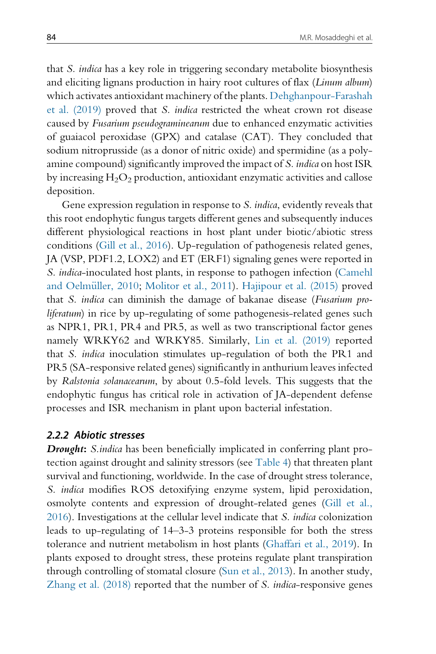that S. indica has a key role in triggering secondary metabolite biosynthesis and eliciting lignans production in hairy root cultures of flax (Linum album) which activates antioxidant machinery of the plants. Dehghanpour-Farashah et al. (2019) proved that S. indica restricted the wheat crown rot disease caused by Fusarium pseudograminearum due to enhanced enzymatic activities of guaiacol peroxidase (GPX) and catalase (CAT). They concluded that sodium nitroprusside (as a donor of nitric oxide) and spermidine (as a polyamine compound) significantly improved the impact of S. indica on host ISR by increasing  $H_2O_2$  production, antioxidant enzymatic activities and callose deposition.

Gene expression regulation in response to S. indica, evidently reveals that this root endophytic fungus targets different genes and subsequently induces different physiological reactions in host plant under biotic/abiotic stress conditions (Gill et al., 2016). Up-regulation of pathogenesis related genes, JA (VSP, PDF1.2, LOX2) and ET (ERF1) signaling genes were reported in S. indica-inoculated host plants, in response to pathogen infection (Camehl and Oelmüller, 2010; Molitor et al., 2011). Hajipour et al. (2015) proved that S. indica can diminish the damage of bakanae disease (Fusarium proliferatum) in rice by up-regulating of some pathogenesis-related genes such as NPR1, PR1, PR4 and PR5, as well as two transcriptional factor genes namely WRKY62 and WRKY85. Similarly, Lin et al. (2019) reported that S. indica inoculation stimulates up-regulation of both the PR1 and PR5 (SA-responsive related genes) significantly in anthurium leaves infected by Ralstonia solanacearum, by about 0.5-fold levels. This suggests that the endophytic fungus has critical role in activation of JA-dependent defense processes and ISR mechanism in plant upon bacterial infestation.

#### 2.2.2 Abiotic stresses

**Drought:** S.indica has been beneficially implicated in conferring plant protection against drought and salinity stressors (see Table 4) that threaten plant survival and functioning, worldwide. In the case of drought stress tolerance, S. indica modifies ROS detoxifying enzyme system, lipid peroxidation, osmolyte contents and expression of drought-related genes (Gill et al., 2016). Investigations at the cellular level indicate that S. indica colonization leads to up-regulating of 14–3-3 proteins responsible for both the stress tolerance and nutrient metabolism in host plants (Ghaffari et al., 2019). In plants exposed to drought stress, these proteins regulate plant transpiration through controlling of stomatal closure (Sun et al., 2013). In another study, Zhang et al. (2018) reported that the number of S. indica-responsive genes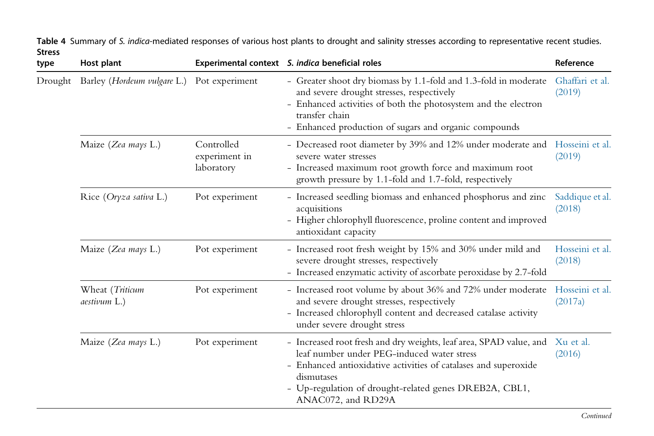| type    | Host plant                      |                                           | Experimental context S. indica beneficial roles                                                                                                                                                                                                                                   | Reference                  |
|---------|---------------------------------|-------------------------------------------|-----------------------------------------------------------------------------------------------------------------------------------------------------------------------------------------------------------------------------------------------------------------------------------|----------------------------|
| Drought | Barley (Hordeum vulgare L.)     | Pot experiment                            | - Greater shoot dry biomass by 1.1-fold and 1.3-fold in moderate<br>and severe drought stresses, respectively<br>- Enhanced activities of both the photosystem and the electron<br>transfer chain<br>- Enhanced production of sugars and organic compounds                        | Ghaffari et al.<br>(2019)  |
|         | Maize (Zea mays L.)             | Controlled<br>experiment in<br>laboratory | - Decreased root diameter by 39% and 12% under moderate and<br>severe water stresses<br>- Increased maximum root growth force and maximum root<br>growth pressure by 1.1-fold and 1.7-fold, respectively                                                                          | Hosseini et al.<br>(2019)  |
|         | Rice (Oryza sativa L.)          | Pot experiment                            | - Increased seedling biomass and enhanced phosphorus and zinc<br>acquisitions<br>- Higher chlorophyll fluorescence, proline content and improved<br>antioxidant capacity                                                                                                          | Saddique et al.<br>(2018)  |
|         | Maize (Zea mays L.)             | Pot experiment                            | - Increased root fresh weight by 15% and 30% under mild and<br>severe drought stresses, respectively<br>- Increased enzymatic activity of ascorbate peroxidase by 2.7-fold                                                                                                        | Hosseini et al.<br>(2018)  |
|         | Wheat (Triticum<br>aestivum L.) | Pot experiment                            | - Increased root volume by about 36% and 72% under moderate<br>and severe drought stresses, respectively<br>- Increased chlorophyll content and decreased catalase activity<br>under severe drought stress                                                                        | Hosseini et al.<br>(2017a) |
|         | Maize (Zea mays L.)             | Pot experiment                            | - Increased root fresh and dry weights, leaf area, SPAD value, and<br>leaf number under PEG-induced water stress<br>- Enhanced antioxidative activities of catalases and superoxide<br>dismutases<br>- Up-regulation of drought-related genes DREB2A, CBL1,<br>ANAC072, and RD29A | Xu et al.<br>(2016)        |

**Table 4** Summary of S. i*ndica-*mediated responses of various host plants to drought and salinity stresses according to representative recent studies. Stress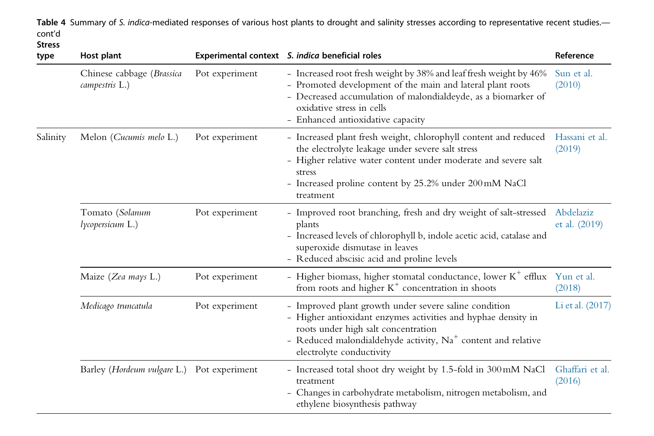Table 4 Summary of S. indica-mediated responses of various host plants to drought and salinity stresses according to representative recent studies. cont'd

#### Stress

| type                                        | Host plant                          |                | Experimental context S. indica beneficial roles                                                                                                                                                                                                                        | Reference                  |
|---------------------------------------------|-------------------------------------|----------------|------------------------------------------------------------------------------------------------------------------------------------------------------------------------------------------------------------------------------------------------------------------------|----------------------------|
| Chinese cabbage (Brassica<br>campestris L.) |                                     | Pot experiment | - Increased root fresh weight by 38% and leaf fresh weight by 46%<br>- Promoted development of the main and lateral plant roots<br>- Decreased accumulation of malondialdeyde, as a biomarker of<br>oxidative stress in cells<br>- Enhanced antioxidative capacity     | Sun et al.<br>(2010)       |
| Salinity                                    | Melon (Cucumis melo L.)             | Pot experiment | - Increased plant fresh weight, chlorophyll content and reduced<br>the electrolyte leakage under severe salt stress<br>- Higher relative water content under moderate and severe salt<br>stress<br>- Increased proline content by 25.2% under 200 mM NaCl<br>treatment | Hassani et al.<br>(2019)   |
|                                             | Tomato (Solanum<br>lycopersicum L.) | Pot experiment | - Improved root branching, fresh and dry weight of salt-stressed<br>plants<br>- Increased levels of chlorophyll b, indole acetic acid, catalase and<br>superoxide dismutase in leaves<br>- Reduced abscisic acid and proline levels                                    | Abdelaziz<br>et al. (2019) |
|                                             | Maize (Zea mays L.)                 | Pot experiment | - Higher biomass, higher stomatal conductance, lower $K^+$ efflux Yun et al.<br>from roots and higher $K^+$ concentration in shoots                                                                                                                                    | (2018)                     |
|                                             | Medicago truncatula                 | Pot experiment | - Improved plant growth under severe saline condition<br>- Higher antioxidant enzymes activities and hyphae density in<br>roots under high salt concentration<br>- Reduced malondialdehyde activity, $Na+$ content and relative<br>electrolyte conductivity            | Li et al. (2017)           |
|                                             | Barley (Hordeum vulgare L.)         | Pot experiment | - Increased total shoot dry weight by 1.5-fold in 300 mM NaCl<br>treatment<br>- Changes in carbohydrate metabolism, nitrogen metabolism, and<br>ethylene biosynthesis pathway                                                                                          | Ghaffari et al.<br>(2016)  |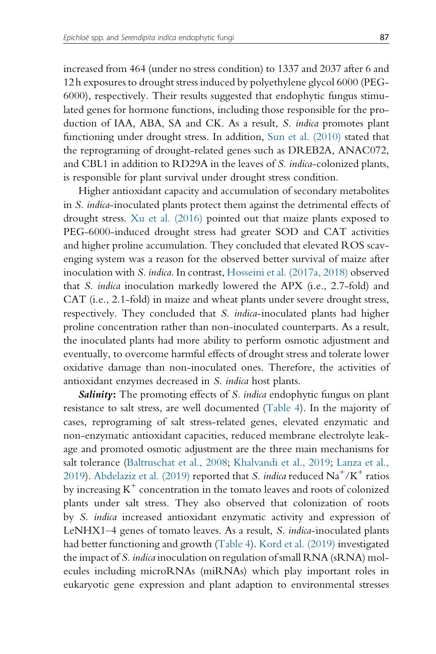increased from 464 (under no stress condition) to 1337 and 2037 after 6 and 12 h exposures to drought stress induced by polyethylene glycol 6000 (PEG-6000), respectively. Their results suggested that endophytic fungus stimulated genes for hormone functions, including those responsible for the production of IAA, ABA, SA and CK. As a result, S. indica promotes plant functioning under drought stress. In addition, Sun et al. (2010) stated that the reprograming of drought-related genes such as DREB2A, ANAC072, and CBL1 in addition to RD29A in the leaves of S. indica-colonized plants, is responsible for plant survival under drought stress condition.

Higher antioxidant capacity and accumulation of secondary metabolites in S. indica-inoculated plants protect them against the detrimental effects of drought stress. Xu et al. (2016) pointed out that maize plants exposed to PEG-6000-induced drought stress had greater SOD and CAT activities and higher proline accumulation. They concluded that elevated ROS scavenging system was a reason for the observed better survival of maize after inoculation with S. indica. In contrast, Hosseini et al. (2017a, 2018) observed that S. indica inoculation markedly lowered the APX (i.e., 2.7-fold) and CAT (i.e., 2.1-fold) in maize and wheat plants under severe drought stress, respectively. They concluded that S. indica-inoculated plants had higher proline concentration rather than non-inoculated counterparts. As a result, the inoculated plants had more ability to perform osmotic adjustment and eventually, to overcome harmful effects of drought stress and tolerate lower oxidative damage than non-inoculated ones. Therefore, the activities of antioxidant enzymes decreased in S. indica host plants.

Salinity: The promoting effects of S. indica endophytic fungus on plant resistance to salt stress, are well documented (Table 4). In the majority of cases, reprograming of salt stress-related genes, elevated enzymatic and non-enzymatic antioxidant capacities, reduced membrane electrolyte leakage and promoted osmotic adjustment are the three main mechanisms for salt tolerance (Baltruschat et al., 2008; Khalvandi et al., 2019; Lanza et al., 2019). Abdelaziz et al. (2019) reported that *S. indica* reduced  $Na^+/K^+$  ratios by increasing  $K^+$  concentration in the tomato leaves and roots of colonized plants under salt stress. They also observed that colonization of roots by S. indica increased antioxidant enzymatic activity and expression of LeNHX1–4 genes of tomato leaves. As a result, S. indica-inoculated plants had better functioning and growth (Table 4). Kord et al. (2019) investigated the impact of S. indica inoculation on regulation of small RNA (sRNA) molecules including microRNAs (miRNAs) which play important roles in eukaryotic gene expression and plant adaption to environmental stresses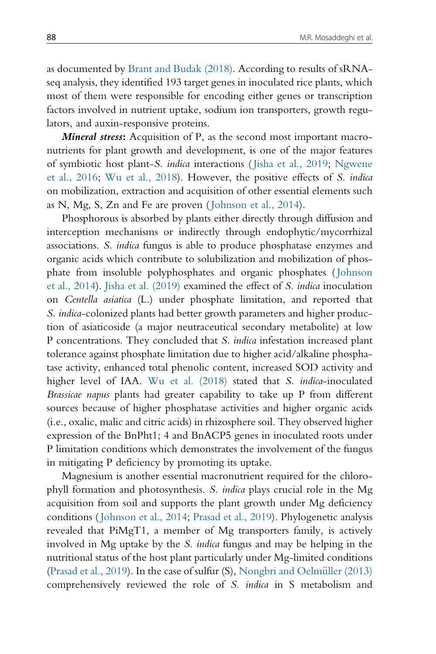as documented by Brant and Budak (2018). According to results of sRNAseq analysis, they identified 193 target genes in inoculated rice plants, which most of them were responsible for encoding either genes or transcription factors involved in nutrient uptake, sodium ion transporters, growth regulators, and auxin-responsive proteins.

Mineral stress: Acquisition of P, as the second most important macronutrients for plant growth and development, is one of the major features of symbiotic host plant-S. indica interactions ( Jisha et al., 2019; Ngwene et al., 2016; Wu et al., 2018). However, the positive effects of S. indica on mobilization, extraction and acquisition of other essential elements such as N, Mg, S, Zn and Fe are proven ( Johnson et al., 2014).

Phosphorous is absorbed by plants either directly through diffusion and interception mechanisms or indirectly through endophytic/mycorrhizal associations. S. indica fungus is able to produce phosphatase enzymes and organic acids which contribute to solubilization and mobilization of phosphate from insoluble polyphosphates and organic phosphates ( Johnson et al., 2014). Jisha et al. (2019) examined the effect of S. indica inoculation on Centella asiatica (L.) under phosphate limitation, and reported that S. indica-colonized plants had better growth parameters and higher production of asiaticoside (a major neutraceutical secondary metabolite) at low P concentrations. They concluded that S. indica infestation increased plant tolerance against phosphate limitation due to higher acid/alkaline phosphatase activity, enhanced total phenolic content, increased SOD activity and higher level of IAA. Wu et al. (2018) stated that S. indica-inoculated Brassicae napus plants had greater capability to take up P from different sources because of higher phosphatase activities and higher organic acids (i.e., oxalic, malic and citric acids) in rhizosphere soil. They observed higher expression of the BnPht1; 4 and BnACP5 genes in inoculated roots under P limitation conditions which demonstrates the involvement of the fungus in mitigating P deficiency by promoting its uptake.

Magnesium is another essential macronutrient required for the chlorophyll formation and photosynthesis. S. indica plays crucial role in the Mg acquisition from soil and supports the plant growth under Mg deficiency conditions ( Johnson et al., 2014; Prasad et al., 2019). Phylogenetic analysis revealed that PiMgT1, a member of Mg transporters family, is actively involved in Mg uptake by the S. indica fungus and may be helping in the nutritional status of the host plant particularly under Mg-limited conditions (Prasad et al., 2019). In the case of sulfur  $(S)$ , Nongbri and Oelmüller  $(2013)$ comprehensively reviewed the role of S. indica in S metabolism and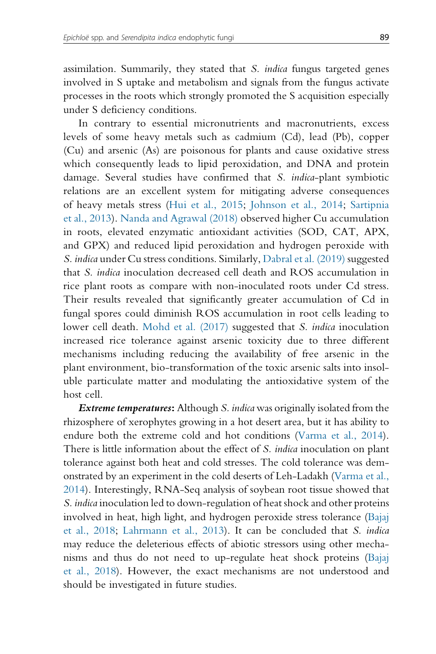assimilation. Summarily, they stated that S. indica fungus targeted genes involved in S uptake and metabolism and signals from the fungus activate processes in the roots which strongly promoted the S acquisition especially under S deficiency conditions.

In contrary to essential micronutrients and macronutrients, excess levels of some heavy metals such as cadmium (Cd), lead (Pb), copper (Cu) and arsenic (As) are poisonous for plants and cause oxidative stress which consequently leads to lipid peroxidation, and DNA and protein damage. Several studies have confirmed that S. *indica*-plant symbiotic relations are an excellent system for mitigating adverse consequences of heavy metals stress (Hui et al., 2015; Johnson et al., 2014; Sartipnia et al., 2013). Nanda and Agrawal (2018) observed higher Cu accumulation in roots, elevated enzymatic antioxidant activities (SOD, CAT, APX, and GPX) and reduced lipid peroxidation and hydrogen peroxide with S. indica under Cu stress conditions. Similarly, Dabral et al. (2019) suggested that S. indica inoculation decreased cell death and ROS accumulation in rice plant roots as compare with non-inoculated roots under Cd stress. Their results revealed that significantly greater accumulation of Cd in fungal spores could diminish ROS accumulation in root cells leading to lower cell death. Mohd et al. (2017) suggested that S. indica inoculation increased rice tolerance against arsenic toxicity due to three different mechanisms including reducing the availability of free arsenic in the plant environment, bio-transformation of the toxic arsenic salts into insoluble particulate matter and modulating the antioxidative system of the host cell.

**Extreme temperatures:** Although S. indica was originally isolated from the rhizosphere of xerophytes growing in a hot desert area, but it has ability to endure both the extreme cold and hot conditions (Varma et al., 2014). There is little information about the effect of S. *indica* inoculation on plant tolerance against both heat and cold stresses. The cold tolerance was demonstrated by an experiment in the cold deserts of Leh-Ladakh (Varma et al., 2014). Interestingly, RNA-Seq analysis of soybean root tissue showed that S. indica inoculation led to down-regulation of heat shock and other proteins involved in heat, high light, and hydrogen peroxide stress tolerance (Bajaj et al., 2018; Lahrmann et al., 2013). It can be concluded that S. indica may reduce the deleterious effects of abiotic stressors using other mechanisms and thus do not need to up-regulate heat shock proteins (Bajaj et al., 2018). However, the exact mechanisms are not understood and should be investigated in future studies.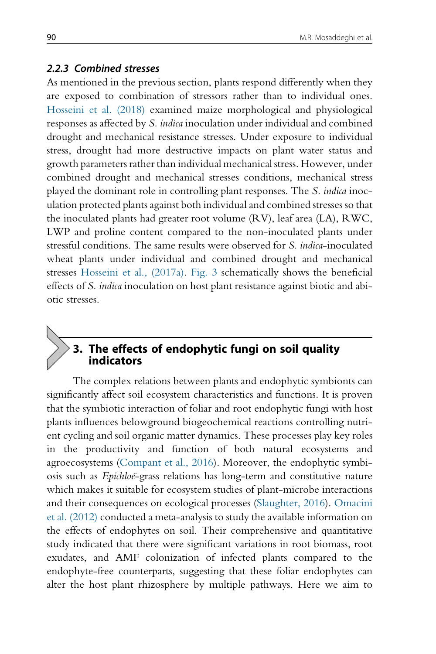#### 2.2.3 Combined stresses

As mentioned in the previous section, plants respond differently when they are exposed to combination of stressors rather than to individual ones. Hosseini et al. (2018) examined maize morphological and physiological responses as affected by S. indica inoculation under individual and combined drought and mechanical resistance stresses. Under exposure to individual stress, drought had more destructive impacts on plant water status and growth parameters rather than individual mechanical stress. However, under combined drought and mechanical stresses conditions, mechanical stress played the dominant role in controlling plant responses. The S. indica inoculation protected plants against both individual and combined stresses so that the inoculated plants had greater root volume (RV), leaf area (LA), RWC, LWP and proline content compared to the non-inoculated plants under stressful conditions. The same results were observed for S. indica-inoculated wheat plants under individual and combined drought and mechanical stresses Hosseini et al., (2017a). Fig. 3 schematically shows the beneficial effects of S. indica inoculation on host plant resistance against biotic and abiotic stresses.

# 3. The effects of endophytic fungi on soil quality indicators

The complex relations between plants and endophytic symbionts can significantly affect soil ecosystem characteristics and functions. It is proven that the symbiotic interaction of foliar and root endophytic fungi with host plants influences belowground biogeochemical reactions controlling nutrient cycling and soil organic matter dynamics. These processes play key roles in the productivity and function of both natural ecosystems and agroecosystems (Compant et al., 2016). Moreover, the endophytic symbiosis such as *Epichloë*-grass relations has long-term and constitutive nature which makes it suitable for ecosystem studies of plant-microbe interactions and their consequences on ecological processes (Slaughter, 2016). Omacini et al. (2012) conducted a meta-analysis to study the available information on the effects of endophytes on soil. Their comprehensive and quantitative study indicated that there were significant variations in root biomass, root exudates, and AMF colonization of infected plants compared to the endophyte-free counterparts, suggesting that these foliar endophytes can alter the host plant rhizosphere by multiple pathways. Here we aim to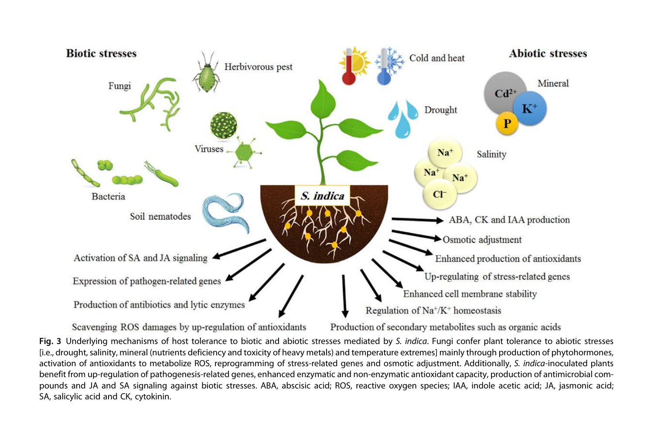

Fig. 3 Underlying mechanisms of host tolerance to biotic and abiotic stresses mediated by S. indica. Fungi confer plant tolerance to abiotic stresses [i.e., drought, salinity, mineral (nutrients deficiency and toxicity of heavy metals) and temperature extremes] mainly through production of phytohormones, activation of antioxidants to metabolize ROS, reprogramming of stress-related genes and osmotic adjustment. Additionally, S. indica-inoculated plants benefit from up-regulation of pathogenesis-related genes, enhanced enzymatic and non-enzymatic antioxidant capacity, production of antimicrobial compounds and JA and SA signaling against biotic stresses. ABA, abscisic acid; ROS, reactive oxygen species; IAA, indole acetic acid; JA, jasmonic acid; SA, salicylic acid and CK, cytokinin.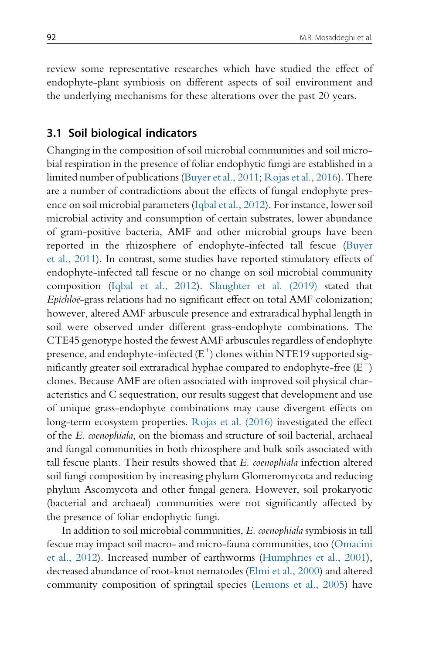review some representative researches which have studied the effect of endophyte-plant symbiosis on different aspects of soil environment and the underlying mechanisms for these alterations over the past 20 years.

#### 3.1 Soil biological indicators

Changing in the composition of soil microbial communities and soil microbial respiration in the presence of foliar endophytic fungi are established in a limited number of publications (Buyer et al., 2011; Rojas et al., 2016). There are a number of contradictions about the effects of fungal endophyte presence on soil microbial parameters (Iqbal et al., 2012). For instance, lower soil microbial activity and consumption of certain substrates, lower abundance of gram-positive bacteria, AMF and other microbial groups have been reported in the rhizosphere of endophyte-infected tall fescue (Buyer et al., 2011). In contrast, some studies have reported stimulatory effects of endophyte-infected tall fescue or no change on soil microbial community composition (Iqbal et al., 2012). Slaughter et al. (2019) stated that Epichloe-grass relations had no significant effect on total AMF colonization; however, altered AMF arbuscule presence and extraradical hyphal length in soil were observed under different grass-endophyte combinations. The CTE45 genotype hosted the fewest AMF arbuscules regardless of endophyte presence, and endophyte-infected  $(E^+)$  clones within NTE19 supported significantly greater soil extraradical hyphae compared to endophyte-free (E $^{-}$ ) clones. Because AMF are often associated with improved soil physical characteristics and C sequestration, our results suggest that development and use of unique grass-endophyte combinations may cause divergent effects on long-term ecosystem properties. Rojas et al. (2016) investigated the effect of the E. coenophiala, on the biomass and structure of soil bacterial, archaeal and fungal communities in both rhizosphere and bulk soils associated with tall fescue plants. Their results showed that E. coenophiala infection altered soil fungi composition by increasing phylum Glomeromycota and reducing phylum Ascomycota and other fungal genera. However, soil prokaryotic (bacterial and archaeal) communities were not significantly affected by the presence of foliar endophytic fungi.

In addition to soil microbial communities, E. coenophiala symbiosis in tall fescue may impact soil macro- and micro-fauna communities, too (Omacini et al., 2012). Increased number of earthworms (Humphries et al., 2001), decreased abundance of root-knot nematodes (Elmi et al., 2000) and altered community composition of springtail species (Lemons et al., 2005) have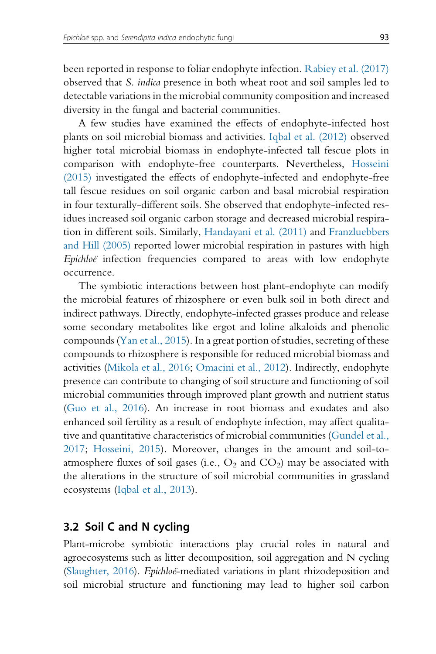been reported in response to foliar endophyte infection. Rabiey et al. (2017) observed that S. indica presence in both wheat root and soil samples led to detectable variations in the microbial community composition and increased diversity in the fungal and bacterial communities.

A few studies have examined the effects of endophyte-infected host plants on soil microbial biomass and activities. Iqbal et al. (2012) observed higher total microbial biomass in endophyte-infected tall fescue plots in comparison with endophyte-free counterparts. Nevertheless, Hosseini (2015) investigated the effects of endophyte-infected and endophyte-free tall fescue residues on soil organic carbon and basal microbial respiration in four texturally-different soils. She observed that endophyte-infected residues increased soil organic carbon storage and decreased microbial respiration in different soils. Similarly, Handayani et al. (2011) and Franzluebbers and Hill (2005) reported lower microbial respiration in pastures with high Epichloe infection frequencies compared to areas with low endophyte occurrence.

The symbiotic interactions between host plant-endophyte can modify the microbial features of rhizosphere or even bulk soil in both direct and indirect pathways. Directly, endophyte-infected grasses produce and release some secondary metabolites like ergot and loline alkaloids and phenolic compounds (Yan et al., 2015). In a great portion of studies, secreting of these compounds to rhizosphere is responsible for reduced microbial biomass and activities (Mikola et al., 2016; Omacini et al., 2012). Indirectly, endophyte presence can contribute to changing of soil structure and functioning of soil microbial communities through improved plant growth and nutrient status (Guo et al., 2016). An increase in root biomass and exudates and also enhanced soil fertility as a result of endophyte infection, may affect qualitative and quantitative characteristics of microbial communities (Gundel et al., 2017; Hosseini, 2015). Moreover, changes in the amount and soil-toatmosphere fluxes of soil gases (i.e.,  $O_2$  and  $CO_2$ ) may be associated with the alterations in the structure of soil microbial communities in grassland ecosystems (Iqbal et al., 2013).

#### 3.2 Soil C and N cycling

Plant-microbe symbiotic interactions play crucial roles in natural and agroecosystems such as litter decomposition, soil aggregation and N cycling (Slaughter, 2016). *Epichloe*-mediated variations in plant rhizodeposition and soil microbial structure and functioning may lead to higher soil carbon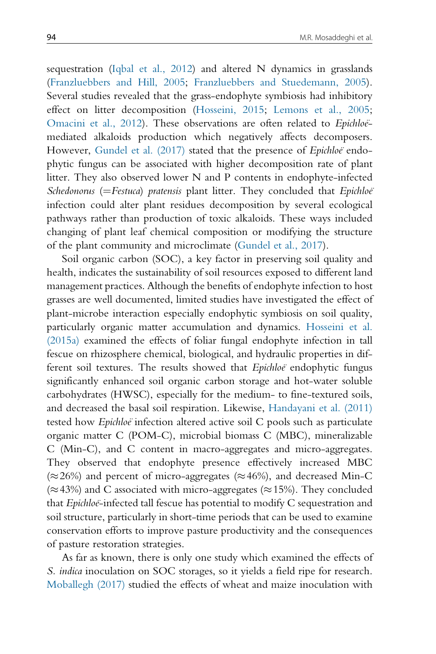sequestration (Iqbal et al., 2012) and altered N dynamics in grasslands (Franzluebbers and Hill, 2005; Franzluebbers and Stuedemann, 2005). Several studies revealed that the grass-endophyte symbiosis had inhibitory effect on litter decomposition (Hosseini, 2015; Lemons et al., 2005; Omacini et al., 2012). These observations are often related to Epichloëmediated alkaloids production which negatively affects decomposers. However, Gundel et al. (2017) stated that the presence of Epichloë endophytic fungus can be associated with higher decomposition rate of plant litter. They also observed lower N and P contents in endophyte-infected Schedonorus ( $=$ Festuca) pratensis plant litter. They concluded that Epichloe<sup>®</sup> infection could alter plant residues decomposition by several ecological pathways rather than production of toxic alkaloids. These ways included changing of plant leaf chemical composition or modifying the structure of the plant community and microclimate (Gundel et al., 2017).

Soil organic carbon (SOC), a key factor in preserving soil quality and health, indicates the sustainability of soil resources exposed to different land management practices. Although the benefits of endophyte infection to host grasses are well documented, limited studies have investigated the effect of plant-microbe interaction especially endophytic symbiosis on soil quality, particularly organic matter accumulation and dynamics. Hosseini et al. (2015a) examined the effects of foliar fungal endophyte infection in tall fescue on rhizosphere chemical, biological, and hydraulic properties in different soil textures. The results showed that Epichloe endophytic fungus significantly enhanced soil organic carbon storage and hot-water soluble carbohydrates (HWSC), especially for the medium- to fine-textured soils, and decreased the basal soil respiration. Likewise, Handayani et al. (2011) tested how *Epichloë* infection altered active soil C pools such as particulate organic matter C (POM-C), microbial biomass C (MBC), mineralizable C (Min-C), and C content in macro-aggregates and micro-aggregates. They observed that endophyte presence effectively increased MBC  $(\approx 26\%)$  and percent of micro-aggregates ( $\approx 46\%$ ), and decreased Min-C  $(\approx 43\%)$  and C associated with micro-aggregates ( $\approx 15\%$ ). They concluded that  $Epichloë$ -infected tall fescue has potential to modify  $C$  sequestration and soil structure, particularly in short-time periods that can be used to examine conservation efforts to improve pasture productivity and the consequences of pasture restoration strategies.

As far as known, there is only one study which examined the effects of S. indica inoculation on SOC storages, so it yields a field ripe for research. Moballegh (2017) studied the effects of wheat and maize inoculation with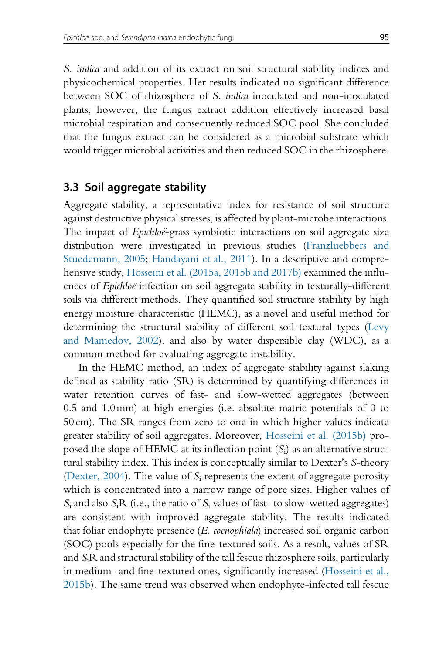S. indica and addition of its extract on soil structural stability indices and physicochemical properties. Her results indicated no significant difference between SOC of rhizosphere of S. indica inoculated and non-inoculated plants, however, the fungus extract addition effectively increased basal microbial respiration and consequently reduced SOC pool. She concluded that the fungus extract can be considered as a microbial substrate which would trigger microbial activities and then reduced SOC in the rhizosphere.

#### 3.3 Soil aggregate stability

Aggregate stability, a representative index for resistance of soil structure against destructive physical stresses, is affected by plant-microbe interactions. The impact of *Epichloe*-grass symbiotic interactions on soil aggregate size distribution were investigated in previous studies (Franzluebbers and Stuedemann, 2005; Handayani et al., 2011). In a descriptive and comprehensive study, Hosseini et al. (2015a, 2015b and 2017b) examined the influences of Epichloe infection on soil aggregate stability in texturally-different soils via different methods. They quantified soil structure stability by high energy moisture characteristic (HEMC), as a novel and useful method for determining the structural stability of different soil textural types (Levy and Mamedov, 2002), and also by water dispersible clay (WDC), as a common method for evaluating aggregate instability.

In the HEMC method, an index of aggregate stability against slaking defined as stability ratio (SR) is determined by quantifying differences in water retention curves of fast- and slow-wetted aggregates (between 0.5 and 1.0mm) at high energies (i.e. absolute matric potentials of 0 to 50 cm). The SR ranges from zero to one in which higher values indicate greater stability of soil aggregates. Moreover, Hosseini et al. (2015b) proposed the slope of HEMC at its inflection point  $(S_i)$  as an alternative structural stability index. This index is conceptually similar to Dexter's S-theory (Dexter, 2004). The value of  $S_i$  represents the extent of aggregate porosity which is concentrated into a narrow range of pore sizes. Higher values of  $S_i$  and also  $S_iR$  (i.e., the ratio of  $S_i$  values of fast- to slow-wetted aggregates) are consistent with improved aggregate stability. The results indicated that foliar endophyte presence (E. coenophiala) increased soil organic carbon (SOC) pools especially for the fine-textured soils. As a result, values of SR and  $S_iR$  and structural stability of the tall fescue rhizosphere soils, particularly in medium- and fine-textured ones, significantly increased (Hosseini et al., 2015b). The same trend was observed when endophyte-infected tall fescue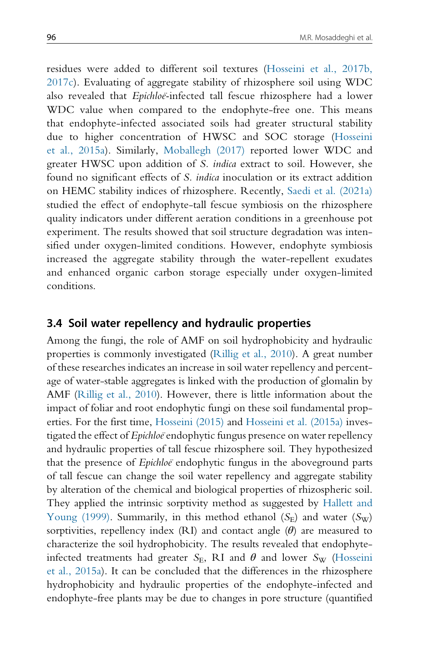residues were added to different soil textures (Hosseini et al., 2017b, 2017c). Evaluating of aggregate stability of rhizosphere soil using WDC also revealed that Epichloe-infected tall fescue rhizosphere had a lower WDC value when compared to the endophyte-free one. This means that endophyte-infected associated soils had greater structural stability due to higher concentration of HWSC and SOC storage (Hosseini et al., 2015a). Similarly, Moballegh (2017) reported lower WDC and greater HWSC upon addition of S. indica extract to soil. However, she found no significant effects of S. indica inoculation or its extract addition on HEMC stability indices of rhizosphere. Recently, Saedi et al. (2021a) studied the effect of endophyte-tall fescue symbiosis on the rhizosphere quality indicators under different aeration conditions in a greenhouse pot experiment. The results showed that soil structure degradation was intensified under oxygen-limited conditions. However, endophyte symbiosis increased the aggregate stability through the water-repellent exudates and enhanced organic carbon storage especially under oxygen-limited conditions.

#### 3.4 Soil water repellency and hydraulic properties

Among the fungi, the role of AMF on soil hydrophobicity and hydraulic properties is commonly investigated (Rillig et al., 2010). A great number of these researches indicates an increase in soil water repellency and percentage of water-stable aggregates is linked with the production of glomalin by AMF (Rillig et al., 2010). However, there is little information about the impact of foliar and root endophytic fungi on these soil fundamental properties. For the first time, Hosseini (2015) and Hosseini et al. (2015a) investigated the effect of Epichloe endophytic fungus presence on water repellency and hydraulic properties of tall fescue rhizosphere soil. They hypothesized that the presence of *Epichloe* endophytic fungus in the aboveground parts of tall fescue can change the soil water repellency and aggregate stability by alteration of the chemical and biological properties of rhizospheric soil. They applied the intrinsic sorptivity method as suggested by Hallett and Young (1999). Summarily, in this method ethanol  $(S<sub>F</sub>)$  and water  $(S<sub>W</sub>)$ sorptivities, repellency index (RI) and contact angle  $(\theta)$  are measured to characterize the soil hydrophobicity. The results revealed that endophyteinfected treatments had greater  $S_{\rm E}$ , RI and  $\theta$  and lower  $S_{\rm W}$  (Hosseini et al., 2015a). It can be concluded that the differences in the rhizosphere hydrophobicity and hydraulic properties of the endophyte-infected and endophyte-free plants may be due to changes in pore structure (quantified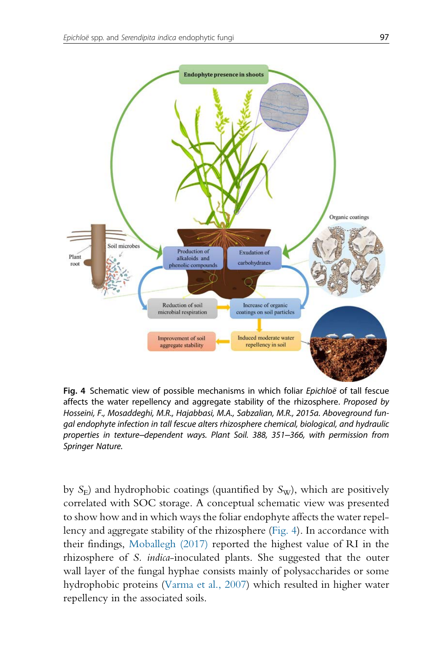

Fig. 4 Schematic view of possible mechanisms in which foliar Epichloë of tall fescue affects the water repellency and aggregate stability of the rhizosphere. Proposed by Hosseini, F., Mosaddeghi, M.R., Hajabbasi, M.A., Sabzalian, M.R., 2015a. Aboveground fungal endophyte infection in tall fescue alters rhizosphere chemical, biological, and hydraulic properties in texture–dependent ways. Plant Soil. 388, 351–366, with permission from Springer Nature.

by  $S_E$ ) and hydrophobic coatings (quantified by  $S_W$ ), which are positively correlated with SOC storage. A conceptual schematic view was presented to show how and in which ways the foliar endophyte affects the water repellency and aggregate stability of the rhizosphere (Fig. 4). In accordance with their findings, Moballegh (2017) reported the highest value of RI in the rhizosphere of S. indica-inoculated plants. She suggested that the outer wall layer of the fungal hyphae consists mainly of polysaccharides or some hydrophobic proteins (Varma et al., 2007) which resulted in higher water repellency in the associated soils.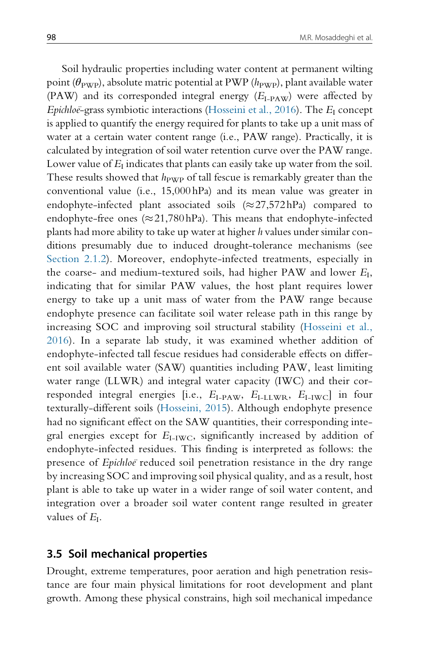Soil hydraulic properties including water content at permanent wilting point ( $\theta_{\text{PWP}}$ ), absolute matric potential at PWP ( $h_{\text{PWP}}$ ), plant available water (PAW) and its corresponded integral energy  $(E<sub>I-PAW</sub>)$  were affected by Epichloe-grass symbiotic interactions (Hosseini et al., 2016). The  $E_I$  concept is applied to quantify the energy required for plants to take up a unit mass of water at a certain water content range (i.e., PAW range). Practically, it is calculated by integration of soil water retention curve over the PAW range. Lower value of  $E_I$  indicates that plants can easily take up water from the soil. These results showed that  $h_{\text{PWP}}$  of tall fescue is remarkably greater than the conventional value (i.e., 15,000 hPa) and its mean value was greater in endophyte-infected plant associated soils  $(\approx 27,572$  hPa) compared to endophyte-free ones ( $\approx$  21,780 hPa). This means that endophyte-infected plants had more ability to take up water at higher h values under similar conditions presumably due to induced drought-tolerance mechanisms (see Section 2.1.2). Moreover, endophyte-infected treatments, especially in the coarse- and medium-textured soils, had higher PAW and lower  $E_I$ , indicating that for similar PAW values, the host plant requires lower energy to take up a unit mass of water from the PAW range because endophyte presence can facilitate soil water release path in this range by increasing SOC and improving soil structural stability (Hosseini et al., 2016). In a separate lab study, it was examined whether addition of endophyte-infected tall fescue residues had considerable effects on different soil available water (SAW) quantities including PAW, least limiting water range (LLWR) and integral water capacity (IWC) and their corresponded integral energies [i.e.,  $E_{\text{I-PAW}}$ ,  $E_{\text{I-LLWR}}$ ,  $E_{\text{I-IVC}}$ ] in four texturally-different soils (Hosseini, 2015). Although endophyte presence had no significant effect on the SAW quantities, their corresponding integral energies except for  $E_{I-IWC}$ , significantly increased by addition of endophyte-infected residues. This finding is interpreted as follows: the presence of *Epichloe* reduced soil penetration resistance in the dry range by increasing SOC and improving soil physical quality, and as a result, host plant is able to take up water in a wider range of soil water content, and integration over a broader soil water content range resulted in greater values of  $E_I$ .

#### 3.5 Soil mechanical properties

Drought, extreme temperatures, poor aeration and high penetration resistance are four main physical limitations for root development and plant growth. Among these physical constrains, high soil mechanical impedance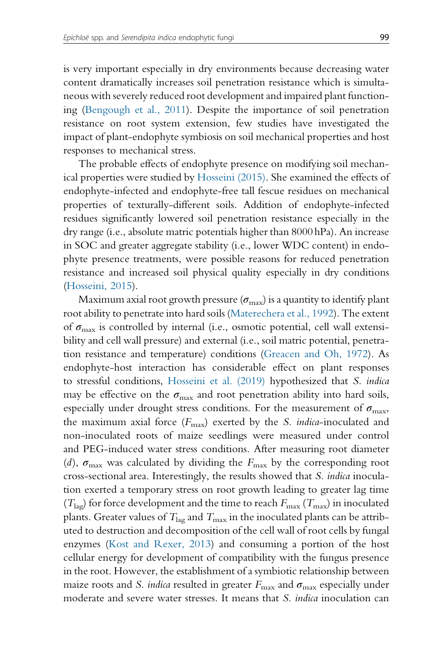is very important especially in dry environments because decreasing water content dramatically increases soil penetration resistance which is simultaneous with severely reduced root development and impaired plant functioning (Bengough et al., 2011). Despite the importance of soil penetration resistance on root system extension, few studies have investigated the impact of plant-endophyte symbiosis on soil mechanical properties and host responses to mechanical stress.

The probable effects of endophyte presence on modifying soil mechanical properties were studied by Hosseini (2015). She examined the effects of endophyte-infected and endophyte-free tall fescue residues on mechanical properties of texturally-different soils. Addition of endophyte-infected residues significantly lowered soil penetration resistance especially in the dry range (i.e., absolute matric potentials higher than 8000 hPa). An increase in SOC and greater aggregate stability (i.e., lower WDC content) in endophyte presence treatments, were possible reasons for reduced penetration resistance and increased soil physical quality especially in dry conditions (Hosseini, 2015).

Maximum axial root growth pressure  $(\sigma_{\text{max}})$  is a quantity to identify plant root ability to penetrate into hard soils (Materechera et al., 1992). The extent of  $\sigma_{\text{max}}$  is controlled by internal (i.e., osmotic potential, cell wall extensibility and cell wall pressure) and external (i.e., soil matric potential, penetration resistance and temperature) conditions (Greacen and Oh, 1972). As endophyte-host interaction has considerable effect on plant responses to stressful conditions, Hosseini et al. (2019) hypothesized that S. indica may be effective on the  $\sigma_{\text{max}}$  and root penetration ability into hard soils, especially under drought stress conditions. For the measurement of  $\sigma_{\text{max}}$ , the maximum axial force  $(F_{\text{max}})$  exerted by the *S. indica*-inoculated and non-inoculated roots of maize seedlings were measured under control and PEG-induced water stress conditions. After measuring root diameter (d),  $\sigma_{\text{max}}$  was calculated by dividing the  $F_{\text{max}}$  by the corresponding root cross-sectional area. Interestingly, the results showed that S. indica inoculation exerted a temporary stress on root growth leading to greater lag time ( $T_{\text{lag}}$ ) for force development and the time to reach  $F_{\text{max}}$  ( $T_{\text{max}}$ ) in inoculated plants. Greater values of  $T_{\text{lag}}$  and  $T_{\text{max}}$  in the inoculated plants can be attributed to destruction and decomposition of the cell wall of root cells by fungal enzymes (Kost and Rexer, 2013) and consuming a portion of the host cellular energy for development of compatibility with the fungus presence in the root. However, the establishment of a symbiotic relationship between maize roots and S. indica resulted in greater  $F_{\text{max}}$  and  $\sigma_{\text{max}}$  especially under moderate and severe water stresses. It means that *S. indica* inoculation can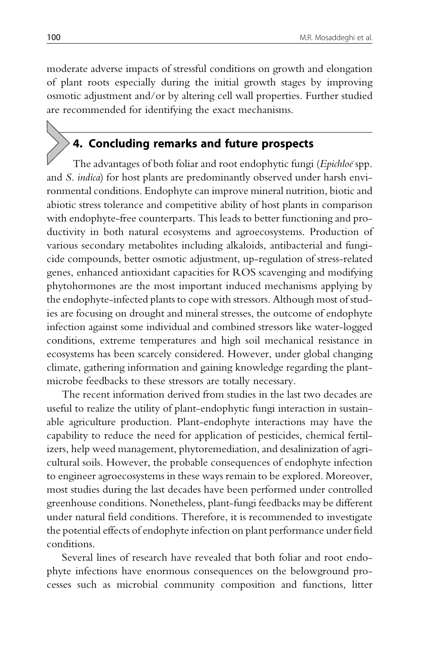moderate adverse impacts of stressful conditions on growth and elongation of plant roots especially during the initial growth stages by improving osmotic adjustment and/or by altering cell wall properties. Further studied are recommended for identifying the exact mechanisms.

# 4. Concluding remarks and future prospects

The advantages of both foliar and root endophytic fungi (Epichloe spp. and S. indica) for host plants are predominantly observed under harsh environmental conditions. Endophyte can improve mineral nutrition, biotic and abiotic stress tolerance and competitive ability of host plants in comparison with endophyte-free counterparts. This leads to better functioning and productivity in both natural ecosystems and agroecosystems. Production of various secondary metabolites including alkaloids, antibacterial and fungicide compounds, better osmotic adjustment, up-regulation of stress-related genes, enhanced antioxidant capacities for ROS scavenging and modifying phytohormones are the most important induced mechanisms applying by the endophyte-infected plants to cope with stressors. Although most of studies are focusing on drought and mineral stresses, the outcome of endophyte infection against some individual and combined stressors like water-logged conditions, extreme temperatures and high soil mechanical resistance in ecosystems has been scarcely considered. However, under global changing climate, gathering information and gaining knowledge regarding the plantmicrobe feedbacks to these stressors are totally necessary.

The recent information derived from studies in the last two decades are useful to realize the utility of plant-endophytic fungi interaction in sustainable agriculture production. Plant-endophyte interactions may have the capability to reduce the need for application of pesticides, chemical fertilizers, help weed management, phytoremediation, and desalinization of agricultural soils. However, the probable consequences of endophyte infection to engineer agroecosystems in these ways remain to be explored. Moreover, most studies during the last decades have been performed under controlled greenhouse conditions. Nonetheless, plant-fungi feedbacks may be different under natural field conditions. Therefore, it is recommended to investigate the potential effects of endophyte infection on plant performance under field conditions.

Several lines of research have revealed that both foliar and root endophyte infections have enormous consequences on the belowground processes such as microbial community composition and functions, litter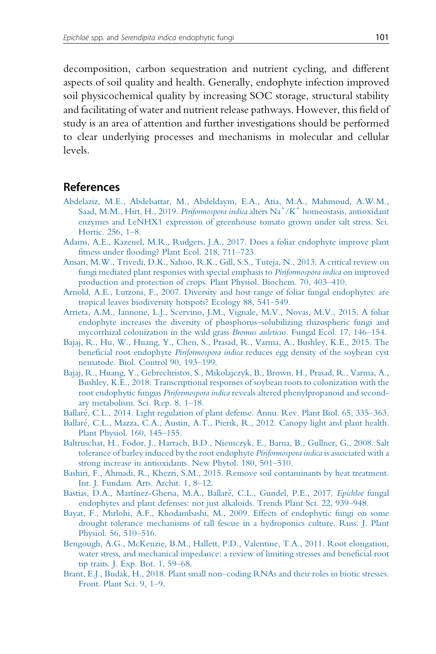decomposition, carbon sequestration and nutrient cycling, and different aspects of soil quality and health. Generally, endophyte infection improved soil physicochemical quality by increasing SOC storage, structural stability and facilitating of water and nutrient release pathways. However, this field of study is an area of attention and further investigations should be performed to clear underlying processes and mechanisms in molecular and cellular levels.

#### References

- Abdelaziz, M.E., Abdelsattar, M., Abdeldaym, E.A., Atia, M.A., Mahmoud, A.W.M., Saad, M.M., Hirt, H., 2019. Piriformospora indica alters  $\mathrm{Na}^+/\mathrm{K}^+$  homeostasis, antioxidant enzymes and LeNHX1 expression of greenhouse tomato grown under salt stress. Sci. Hortic. 256, 1–8.
- Adams, A.E., Kazenel, M.R., Rudgers, J.A., 2017. Does a foliar endophyte improve plant fitness under flooding? Plant Ecol. 218, 711–723.
- Ansari, M.W., Trivedi, D.K., Sahoo, R.K., Gill, S.S., Tuteja, N., 2013. A critical review on fungi mediated plant responses with special emphasis to Piriformospora indica on improved production and protection of crops. Plant Physiol. Biochem. 70, 403–410.
- Arnold, A.E., Lutzoni, F., 2007. Diversity and host range of foliar fungal endophytes: are tropical leaves biodiversity hotspots? Ecology 88, 541–549.
- Arrieta, A.M., Iannone, L.J., Scervino, J.M., Vignale, M.V., Novas, M.V., 2015. A foliar endophyte increases the diversity of phosphorus–solubilizing rhizospheric fungi and mycorrhizal colonization in the wild grass Bromus auleticus. Fungal Ecol. 17, 146–154.
- Bajaj, R., Hu, W., Huang, Y., Chen, S., Prasad, R., Varma, A., Bushley, K.E., 2015. The beneficial root endophyte Piriformospora indica reduces egg density of the soybean cyst nematode. Biol. Control 90, 193–199.
- Bajaj, R., Huang, Y., Gebrechristos, S., Mikolajczyk, B., Brown, H., Prasad, R., Varma, A., Bushley, K.E., 2018. Transcriptional responses of soybean roots to colonization with the root endophytic fungus Piriformospora indica reveals altered phenylpropanoid and secondary metabolism. Sci. Rep. 8, 1–18.
- Ballare, C.L., 2014. Light regulation of plant defense. Annu. Rev. Plant Biol. 65, 335–363.
- Ballare, C.L., Mazza, C.A., Austin, A.T., Pierik, R., 2012. Canopy light and plant health. Plant Physiol. 160, 145–155.
- Baltruschat, H., Fodor, J., Harrach, B.D., Niemczyk, E., Barna, B., Gullner, G., 2008. Salt tolerance of barley induced by the root endophyte Piriformospora indica is associated with a strong increase in antioxidants. New Phytol. 180, 501–510.
- Bashiri, F., Ahmadi, R., Khezri, S.M., 2015. Remove soil contaminants by heat treatment. Int. J. Fundam. Arts. Archit. 1, 8–12.
- Bastias, D.A., Martínez-Ghersa, M.A., Ballaré, C.L., Gundel, P.E., 2017. Epichloe fungal endophytes and plant defenses: not just alkaloids. Trends Plant Sci. 22, 939–948.
- Bayat, F., Mirlohi, A.F., Khodambashi, M., 2009. Effects of endophytic fungi on some drought tolerance mechanisms of tall fescue in a hydroponics culture. Russ. J. Plant Physiol. 56, 510–516.
- Bengough, A.G., McKenzie, B.M., Hallett, P.D., Valentine, T.A., 2011. Root elongation, water stress, and mechanical impedance: a review of limiting stresses and beneficial root tip traits. J. Exp. Bot. 1, 59–68.
- Brant, E.J., Budak, H., 2018. Plant small non–coding RNAs and their roles in biotic stresses. Front. Plant Sci. 9, 1–9.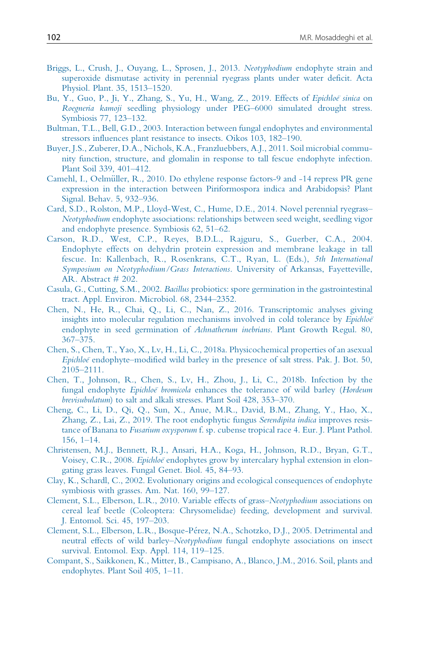- Briggs, L., Crush, J., Ouyang, L., Sprosen, J., 2013. Neotyphodium endophyte strain and superoxide dismutase activity in perennial ryegrass plants under water deficit. Acta Physiol. Plant. 35, 1513–1520.
- Bu, Y., Guo, P., Ji, Y., Zhang, S., Yu, H., Wang, Z., 2019. Effects of Epichloë sinica on Roegneria kamoji seedling physiology under PEG–6000 simulated drought stress. Symbiosis 77, 123–132.
- Bultman, T.L., Bell, G.D., 2003. Interaction between fungal endophytes and environmental stressors influences plant resistance to insects. Oikos 103, 182–190.
- Buyer, J.S., Zuberer, D.A., Nichols, K.A., Franzluebbers, A.J., 2011. Soil microbial community function, structure, and glomalin in response to tall fescue endophyte infection. Plant Soil 339, 401–412.
- Camehl, I., Oelmüller, R., 2010. Do ethylene response factors-9 and -14 repress PR gene expression in the interaction between Piriformospora indica and Arabidopsis? Plant Signal. Behav. 5, 932–936.
- Card, S.D., Rolston, M.P., Lloyd-West, C., Hume, D.E., 2014. Novel perennial ryegrass– Neotyphodium endophyte associations: relationships between seed weight, seedling vigor and endophyte presence. Symbiosis 62, 51–62.
- Carson, R.D., West, C.P., Reyes, B.D.L., Rajguru, S., Guerber, C.A., 2004. Endophyte effects on dehydrin protein expression and membrane leakage in tall fescue. In: Kallenbach, R., Rosenkrans, C.T., Ryan, L. (Eds.), 5th International Symposium on Neotyphodium/Grass Interactions. University of Arkansas, Fayetteville, AR. Abstract # 202.
- Casula, G., Cutting, S.M., 2002. Bacillus probiotics: spore germination in the gastrointestinal tract. Appl. Environ. Microbiol. 68, 2344–2352.
- Chen, N., He, R., Chai, Q., Li, C., Nan, Z., 2016. Transcriptomic analyses giving insights into molecular regulation mechanisms involved in cold tolerance by *Epichloë* endophyte in seed germination of Achnatherum inebrians. Plant Growth Regul. 80, 367–375.
- Chen, S., Chen, T., Yao, X., Lv, H., Li, C., 2018a. Physicochemical properties of an asexual Epichloeï endophyte–modified wild barley in the presence of salt stress. Pak. J. Bot. 50, 2105–2111.
- Chen, T., Johnson, R., Chen, S., Lv, H., Zhou, J., Li, C., 2018b. Infection by the fungal endophyte *Epichloe* bromicola enhances the tolerance of wild barley (Hordeum brevisubulatum) to salt and alkali stresses. Plant Soil 428, 353–370.
- Cheng, C., Li, D., Qi, Q., Sun, X., Anue, M.R., David, B.M., Zhang, Y., Hao, X., Zhang, Z., Lai, Z., 2019. The root endophytic fungus Serendipita indica improves resistance of Banana to Fusarium oxysporum f. sp. cubense tropical race 4. Eur. J. Plant Pathol. 156, 1–14.
- Christensen, M.J., Bennett, R.J., Ansari, H.A., Koga, H., Johnson, R.D., Bryan, G.T., Voisey, C.R., 2008. Epichloe endophytes grow by intercalary hyphal extension in elongating grass leaves. Fungal Genet. Biol. 45, 84–93.
- Clay, K., Schardl, C., 2002. Evolutionary origins and ecological consequences of endophyte symbiosis with grasses. Am. Nat. 160, 99–127.
- Clement, S.L., Elberson, L.R., 2010. Variable effects of grass–Neotyphodium associations on cereal leaf beetle (Coleoptera: Chrysomelidae) feeding, development and survival. J. Entomol. Sci. 45, 197–203.
- Clement, S.L., Elberson, L.R., Bosque-Perez, N.A., Schotzko, D.J., 2005. Detrimental and neutral effects of wild barley–Neotyphodium fungal endophyte associations on insect survival. Entomol. Exp. Appl. 114, 119–125.
- Compant, S., Saikkonen, K., Mitter, B., Campisano, A., Blanco, J.M., 2016. Soil, plants and endophytes. Plant Soil 405, 1–11.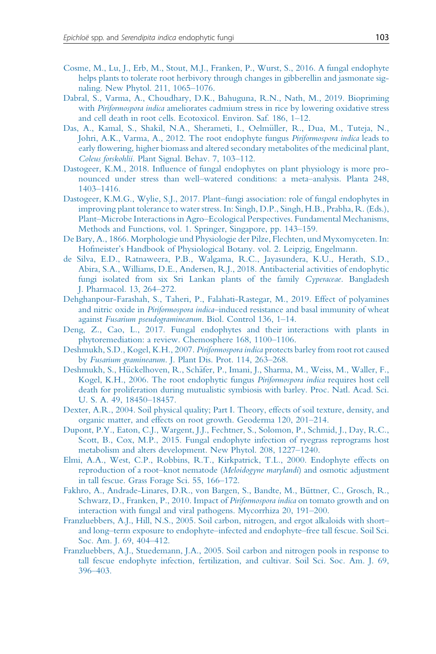- Cosme, M., Lu, J., Erb, M., Stout, M.J., Franken, P., Wurst, S., 2016. A fungal endophyte helps plants to tolerate root herbivory through changes in gibberellin and jasmonate signaling. New Phytol. 211, 1065–1076.
- Dabral, S., Varma, A., Choudhary, D.K., Bahuguna, R.N., Nath, M., 2019. Biopriming with *Piriformospora indica* ameliorates cadmium stress in rice by lowering oxidative stress and cell death in root cells. Ecotoxicol. Environ. Saf. 186, 1–12.
- Das, A., Kamal, S., Shakil, N.A., Sherameti, I., Oelmüller, R., Dua, M., Tuteja, N., Johri, A.K., Varma, A., 2012. The root endophyte fungus Piriformospora indica leads to early flowering, higher biomass and altered secondary metabolites of the medicinal plant, Coleus forskohlii. Plant Signal. Behav. 7, 103–112.
- Dastogeer, K.M., 2018. Influence of fungal endophytes on plant physiology is more pronounced under stress than well–watered conditions: a meta–analysis. Planta 248, 1403–1416.
- Dastogeer, K.M.G., Wylie, S.J., 2017. Plant–fungi association: role of fungal endophytes in improving plant tolerance to water stress. In: Singh, D.P., Singh, H.B., Prabha, R. (Eds.), Plant–Microbe Interactions in Agro–Ecological Perspectives. Fundamental Mechanisms, Methods and Functions, vol. 1. Springer, Singapore, pp. 143–159.
- De Bary, A., 1866. Morphologie und Physiologie der Pilze, Flechten, und Myxomyceten. In: Hofmeister's Handbook of Physiological Botany. vol. 2. Leipzig, Engelmann.
- de Silva, E.D., Ratnaweera, P.B., Walgama, R.C., Jayasundera, K.U., Herath, S.D., Abira, S.A., Williams, D.E., Andersen, R.J., 2018. Antibacterial activities of endophytic fungi isolated from six Sri Lankan plants of the family Cyperaceae. Bangladesh J. Pharmacol. 13, 264–272.
- Dehghanpour-Farashah, S., Taheri, P., Falahati-Rastegar, M., 2019. Effect of polyamines and nitric oxide in Piriformospora indica-induced resistance and basal immunity of wheat against Fusarium pseudograminearum. Biol. Control 136, 1–14.
- Deng, Z., Cao, L., 2017. Fungal endophytes and their interactions with plants in phytoremediation: a review. Chemosphere 168, 1100–1106.
- Deshmukh, S.D., Kogel, K.H., 2007. Piriformospora indica protects barley from root rot caused by Fusarium graminearum. J. Plant Dis. Prot. 114, 263–268.
- Deshmukh, S., Hückelhoven, R., Schäfer, P., Imani, J., Sharma, M., Weiss, M., Waller, F., Kogel, K.H., 2006. The root endophytic fungus Piriformospora indica requires host cell death for proliferation during mutualistic symbiosis with barley. Proc. Natl. Acad. Sci. U. S. A. 49, 18450–18457.
- Dexter, A.R., 2004. Soil physical quality; Part I. Theory, effects of soil texture, density, and organic matter, and effects on root growth. Geoderma 120, 201–214.
- Dupont, P.Y., Eaton, C.J., Wargent, J.J., Fechtner, S., Solomon, P., Schmid, J., Day, R.C., Scott, B., Cox, M.P., 2015. Fungal endophyte infection of ryegrass reprograms host metabolism and alters development. New Phytol. 208, 1227–1240.
- Elmi, A.A., West, C.P., Robbins, R.T., Kirkpatrick, T.L., 2000. Endophyte effects on reproduction of a root-knot nematode (Meloidogyne marylandi) and osmotic adjustment in tall fescue. Grass Forage Sci. 55, 166–172.
- Fakhro, A., Andrade-Linares, D.R., von Bargen, S., Bandte, M., Büttner, C., Grosch, R., Schwarz, D., Franken, P., 2010. Impact of *Piriformospora indica* on tomato growth and on interaction with fungal and viral pathogens. Mycorrhiza 20, 191–200.
- Franzluebbers, A.J., Hill, N.S., 2005. Soil carbon, nitrogen, and ergot alkaloids with short– and long–term exposure to endophyte–infected and endophyte–free tall fescue. Soil Sci. Soc. Am. J. 69, 404–412.
- Franzluebbers, A.J., Stuedemann, J.A., 2005. Soil carbon and nitrogen pools in response to tall fescue endophyte infection, fertilization, and cultivar. Soil Sci. Soc. Am. J. 69, 396–403.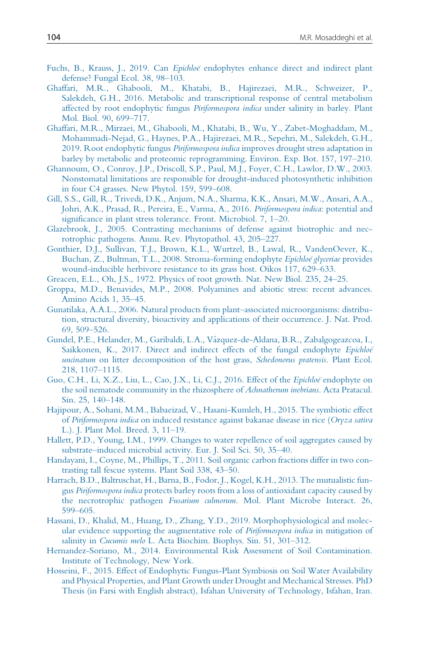- Fuchs, B., Krauss, J., 2019. Can *Epichloe* endophytes enhance direct and indirect plant defense? Fungal Ecol. 38, 98–103.
- Ghaffari, M.R., Ghabooli, M., Khatabi, B., Hajirezaei, M.R., Schweizer, P., Salekdeh, G.H., 2016. Metabolic and transcriptional response of central metabolism affected by root endophytic fungus Piriformospora indica under salinity in barley. Plant Mol. Biol. 90, 699–717.
- Ghaffari, M.R., Mirzaei, M., Ghabooli, M., Khatabi, B., Wu, Y., Zabet-Moghaddam, M., Mohammadi-Nejad, G., Haynes, P.A., Hajirezaei, M.R., Sepehri, M., Salekdeh, G.H., 2019. Root endophytic fungus Piriformospora indica improves drought stress adaptation in barley by metabolic and proteomic reprogramming. Environ. Exp. Bot. 157, 197–210.
- Ghannoum, O., Conroy, J.P., Driscoll, S.P., Paul, M.J., Foyer, C.H., Lawlor, D.W., 2003. Nonstomatal limitations are responsible for drought-induced photosynthetic inhibition in four C4 grasses. New Phytol. 159, 599–608.
- Gill, S.S., Gill, R., Trivedi, D.K., Anjum, N.A., Sharma, K.K., Ansari, M.W., Ansari, A.A., Johri, A.K., Prasad, R., Pereira, E., Varma, A., 2016. *Piriformospora indica*: potential and significance in plant stress tolerance. Front. Microbiol. 7, 1–20.
- Glazebrook, J., 2005. Contrasting mechanisms of defense against biotrophic and necrotrophic pathogens. Annu. Rev. Phytopathol. 43, 205–227.
- Gonthier, D.J., Sullivan, T.J., Brown, K.L., Wurtzel, B., Lawal, R., VandenOever, K., Buchan, Z., Bultman, T.L., 2008. Stroma-forming endophyte Epichloe glyceriae provides wound-inducible herbivore resistance to its grass host. Oikos 117, 629–633.
- Greacen, E.L., Oh, J.S., 1972. Physics of root growth. Nat. New Biol. 235, 24–25.
- Groppa, M.D., Benavides, M.P., 2008. Polyamines and abiotic stress: recent advances. Amino Acids 1, 35–45.
- Gunatilaka, A.A.L., 2006. Natural products from plant–associated microorganisms: distribution, structural diversity, bioactivity and applications of their occurrence. J. Nat. Prod. 69, 509–526.
- Gundel, P.E., Helander, M., Garibaldi, L.A., Va´zquez-de-Aldana, B.R., Zabalgogeazcoa, I., Saikkonen, K., 2017. Direct and indirect effects of the fungal endophyte Epichloë uncinatum on litter decomposition of the host grass, Schedonorus pratensis. Plant Ecol. 218, 1107–1115.
- Guo, C.H., Li, X.Z., Liu, L., Cao, J.X., Li, C.J., 2016. Effect of the Epichloë endophyte on the soil nematode community in the rhizosphere of Achnatherum inebrians. Acta Pratacul. Sin. 25, 140–148.
- Hajipour, A., Sohani, M.M., Babaeizad, V., Hasani-Kumleh, H., 2015. The symbiotic effect of Piriformospora indica on induced resistance against bakanae disease in rice (Oryza sativa L.). J. Plant Mol. Breed. 3, 11–19.
- Hallett, P.D., Young, I.M., 1999. Changes to water repellence of soil aggregates caused by substrate–induced microbial activity. Eur. J. Soil Sci. 50, 35–40.
- Handayani, I., Coyne, M., Phillips, T., 2011. Soil organic carbon fractions differ in two contrasting tall fescue systems. Plant Soil 338, 43–50.
- Harrach, B.D., Baltruschat, H., Barna, B., Fodor, J., Kogel, K.H., 2013. The mutualistic fungus Piriformospora indica protects barley roots from a loss of antioxidant capacity caused by the necrotrophic pathogen Fusarium culmorum. Mol. Plant Microbe Interact. 26, 599–605.
- Hassani, D., Khalid, M., Huang, D., Zhang, Y.D., 2019. Morphophysiological and molecular evidence supporting the augmentative role of Piriformospora indica in mitigation of salinity in Cucumis melo L. Acta Biochim. Biophys. Sin. 51, 301–312.
- Hernandez-Soriano, M., 2014. Environmental Risk Assessment of Soil Contamination. Institute of Technology, New York.
- Hosseini, F., 2015. Effect of Endophytic Fungus-Plant Symbiosis on Soil Water Availability and Physical Properties, and Plant Growth under Drought and Mechanical Stresses. PhD Thesis (in Farsi with English abstract), Isfahan University of Technology, Isfahan, Iran.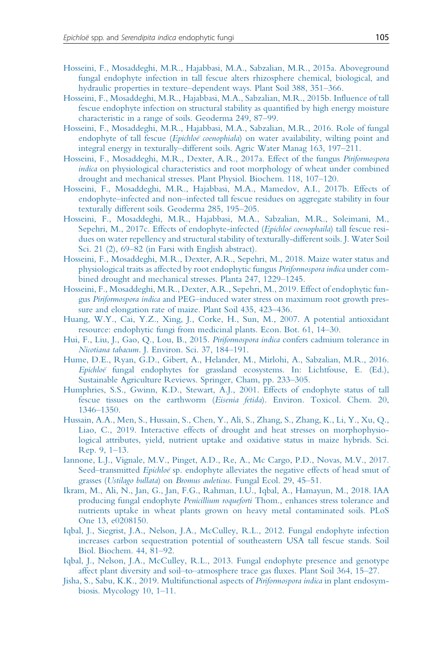- Hosseini, F., Mosaddeghi, M.R., Hajabbasi, M.A., Sabzalian, M.R., 2015a. Aboveground fungal endophyte infection in tall fescue alters rhizosphere chemical, biological, and hydraulic properties in texture–dependent ways. Plant Soil 388, 351–366.
- Hosseini, F., Mosaddeghi, M.R., Hajabbasi, M.A., Sabzalian, M.R., 2015b. Influence of tall fescue endophyte infection on structural stability as quantified by high energy moisture characteristic in a range of soils. Geoderma 249, 87–99.
- Hosseini, F., Mosaddeghi, M.R., Hajabbasi, M.A., Sabzalian, M.R., 2016. Role of fungal endophyte of tall fescue (*Epichloe* coenophiala) on water availability, wilting point and integral energy in texturally–different soils. Agric Water Manag 163, 197–211.
- Hosseini, F., Mosaddeghi, M.R., Dexter, A.R., 2017a. Effect of the fungus Piriformospora indica on physiological characteristics and root morphology of wheat under combined drought and mechanical stresses. Plant Physiol. Biochem. 118, 107–120.
- Hosseini, F., Mosaddeghi, M.R., Hajabbasi, M.A., Mamedov, A.I., 2017b. Effects of endophyte–infected and non–infected tall fescue residues on aggregate stability in four texturally different soils. Geoderma 285, 195–205.
- Hosseini, F., Mosaddeghi, M.R., Hajabbasi, M.A., Sabzalian, M.R., Soleimani, M., Sepehri, M., 2017c. Effects of endophyte-infected (Epichloe coenophaila) tall fescue residues on water repellency and structural stability of texturally-different soils. J. Water Soil Sci. 21 (2), 69–82 (in Farsi with English abstract).
- Hosseini, F., Mosaddeghi, M.R., Dexter, A.R., Sepehri, M., 2018. Maize water status and physiological traits as affected by root endophytic fungus Piriformospora indica under combined drought and mechanical stresses. Planta 247, 1229–1245.
- Hosseini, F., Mosaddeghi, M.R., Dexter, A.R., Sepehri, M., 2019. Effect of endophytic fungus Piriformospora indica and PEG–induced water stress on maximum root growth pressure and elongation rate of maize. Plant Soil 435, 423–436.
- Huang, W.Y., Cai, Y.Z., Xing, J., Corke, H., Sun, M., 2007. A potential antioxidant resource: endophytic fungi from medicinal plants. Econ. Bot. 61, 14–30.
- Hui, F., Liu, J., Gao, O., Lou, B., 2015. Piriformospora indica confers cadmium tolerance in Nicotiana tabacum. J. Environ. Sci. 37, 184–191.
- Hume, D.E., Ryan, G.D., Gibert, A., Helander, M., Mirlohi, A., Sabzalian, M.R., 2016. Epichloe¨ fungal endophytes for grassland ecosystems. In: Lichtfouse, E. (Ed.), Sustainable Agriculture Reviews. Springer, Cham, pp. 233–305.
- Humphries, S.S., Gwinn, K.D., Stewart, A.J., 2001. Effects of endophyte status of tall fescue tissues on the earthworm (Eisenia fetida). Environ. Toxicol. Chem. 20, 1346–1350.
- Hussain, A.A., Men, S., Hussain, S., Chen, Y., Ali, S., Zhang, S., Zhang, K., Li, Y., Xu, Q., Liao, C., 2019. Interactive effects of drought and heat stresses on morphophysiological attributes, yield, nutrient uptake and oxidative status in maize hybrids. Sci. Rep. 9, 1–13.
- Iannone, L.J., Vignale, M.V., Pinget, A.D., Re, A., Mc Cargo, P.D., Novas, M.V., 2017. Seed–transmitted Epichloe sp. endophyte alleviates the negative effects of head smut of grasses (Ustilago bullata) on Bromus auleticus. Fungal Ecol. 29, 45–51.
- Ikram, M., Ali, N., Jan, G., Jan, F.G., Rahman, I.U., Iqbal, A., Hamayun, M., 2018. IAA producing fungal endophyte Penicillium roqueforti Thom., enhances stress tolerance and nutrients uptake in wheat plants grown on heavy metal contaminated soils. PLoS One 13, e0208150.
- Iqbal, J., Siegrist, J.A., Nelson, J.A., McCulley, R.L., 2012. Fungal endophyte infection increases carbon sequestration potential of southeastern USA tall fescue stands. Soil Biol. Biochem. 44, 81–92.
- Iqbal, J., Nelson, J.A., McCulley, R.L., 2013. Fungal endophyte presence and genotype affect plant diversity and soil–to–atmosphere trace gas fluxes. Plant Soil 364, 15–27.
- Jisha, S., Sabu, K.K., 2019. Multifunctional aspects of Piriformospora indica in plant endosymbiosis. Mycology 10, 1–11.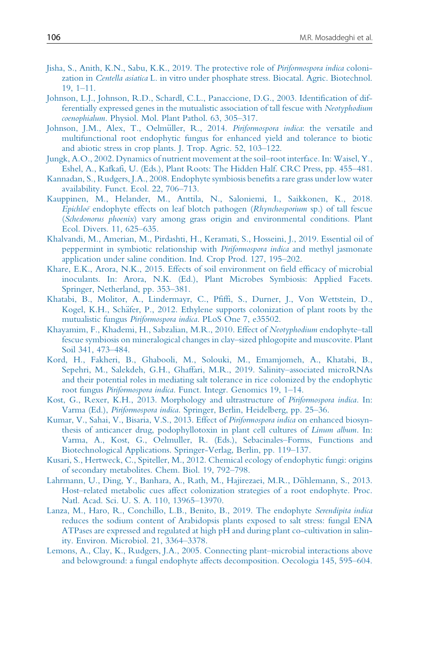- Jisha, S., Anith, K.N., Sabu, K.K., 2019. The protective role of Piriformospora indica colonization in Centella asiatica L. in vitro under phosphate stress. Biocatal. Agric. Biotechnol. 19, 1–11.
- Johnson, L.J., Johnson, R.D., Schardl, C.L., Panaccione, D.G., 2003. Identification of differentially expressed genes in the mutualistic association of tall fescue with Neotyphodium coenophialum. Physiol. Mol. Plant Pathol. 63, 305–317.
- Johnson, J.M., Alex, T., Oelmüller, R., 2014. Piriformospora indica: the versatile and multifunctional root endophytic fungus for enhanced yield and tolerance to biotic and abiotic stress in crop plants. J. Trop. Agric. 52, 103–122.
- Jungk, A.O., 2002. Dynamics of nutrient movement at the soil–root interface. In: Waisel, Y., Eshel, A., Kafkafi, U. (Eds.), Plant Roots: The Hidden Half. CRC Press, pp. 455–481.
- Kannadan, S., Rudgers, J.A., 2008. Endophyte symbiosis benefits a rare grass under low water availability. Funct. Ecol. 22, 706–713.
- Kauppinen, M., Helander, M., Anttila, N., Saloniemi, I., Saikkonen, K., 2018. Epichloeï endophyte effects on leaf blotch pathogen (Rhynchosporium sp.) of tall fescue (Schedonorus phoenix) vary among grass origin and environmental conditions. Plant Ecol. Divers. 11, 625–635.
- Khalvandi, M., Amerian, M., Pirdashti, H., Keramati, S., Hosseini, J., 2019. Essential oil of peppermint in symbiotic relationship with Piriformospora indica and methyl jasmonate application under saline condition. Ind. Crop Prod. 127, 195–202.
- Khare, E.K., Arora, N.K., 2015. Effects of soil environment on field efficacy of microbial inoculants. In: Arora, N.K. (Ed.), Plant Microbes Symbiosis: Applied Facets. Springer, Netherland, pp. 353–381.
- Khatabi, B., Molitor, A., Lindermayr, C., Pfiffi, S., Durner, J., Von Wettstein, D., Kogel, K.H., Schäfer, P., 2012. Ethylene supports colonization of plant roots by the mutualistic fungus Piriformospora indica. PLoS One 7, e35502.
- Khayamim, F., Khademi, H., Sabzalian, M.R., 2010. Effect of Neotyphodium endophyte–tall fescue symbiosis on mineralogical changes in clay–sized phlogopite and muscovite. Plant Soil 341, 473–484.
- Kord, H., Fakheri, B., Ghabooli, M., Solouki, M., Emamjomeh, A., Khatabi, B., Sepehri, M., Salekdeh, G.H., Ghaffari, M.R., 2019. Salinity–associated microRNAs and their potential roles in mediating salt tolerance in rice colonized by the endophytic root fungus Piriformospora indica. Funct. Integr. Genomics 19, 1–14.
- Kost, G., Rexer, K.H., 2013. Morphology and ultrastructure of Piriformospora indica. In: Varma (Ed.), Piriformospora indica. Springer, Berlin, Heidelberg, pp. 25–36.
- Kumar, V., Sahai, V., Bisaria, V.S., 2013. Effect of Piriformospora indica on enhanced biosynthesis of anticancer drug, podophyllotoxin in plant cell cultures of Linum album. In: Varma, A., Kost, G., Oelmuller, R. (Eds.), Sebacinales–Forms, Functions and Biotechnological Applications. Springer-Verlag, Berlin, pp. 119–137.
- Kusari, S., Hertweck, C., Spiteller, M., 2012. Chemical ecology of endophytic fungi: origins of secondary metabolites. Chem. Biol. 19, 792–798.
- Lahrmann, U., Ding, Y., Banhara, A., Rath, M., Hajirezaei, M.R., Döhlemann, S., 2013. Host–related metabolic cues affect colonization strategies of a root endophyte. Proc. Natl. Acad. Sci. U. S. A. 110, 13965–13970.
- Lanza, M., Haro, R., Conchillo, L.B., Benito, B., 2019. The endophyte Serendipita indica reduces the sodium content of Arabidopsis plants exposed to salt stress: fungal ENA ATPases are expressed and regulated at high pH and during plant co-cultivation in salinity. Environ. Microbiol. 21, 3364–3378.
- Lemons, A., Clay, K., Rudgers, J.A., 2005. Connecting plant–microbial interactions above and belowground: a fungal endophyte affects decomposition. Oecologia 145, 595–604.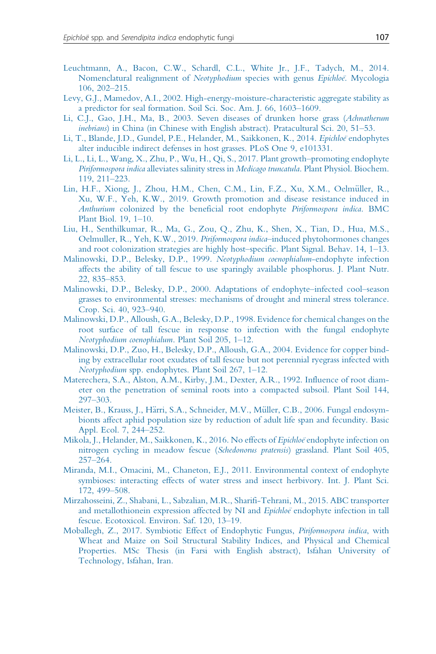- Leuchtmann, A., Bacon, C.W., Schardl, C.L., White Jr., J.F., Tadych, M., 2014. Nomenclatural realignment of Neotyphodium species with genus Epichloë. Mycologia 106, 202–215.
- Levy, G.J., Mamedov, A.I., 2002. High-energy-moisture-characteristic aggregate stability as a predictor for seal formation. Soil Sci. Soc. Am. J. 66, 1603–1609.
- Li, C.J., Gao, J.H., Ma, B., 2003. Seven diseases of drunken horse grass (Achnatherum inebrians) in China (in Chinese with English abstract). Pratacultural Sci. 20, 51–53.
- Li, T., Blande, J.D., Gundel, P.E., Helander, M., Saikkonen, K., 2014. Epichloe endophytes alter inducible indirect defenses in host grasses. PLoS One 9, e101331.
- Li, L., Li, L., Wang, X., Zhu, P., Wu, H., Qi, S., 2017. Plant growth–promoting endophyte Piriformospora indica alleviates salinity stress in Medicago truncatula. Plant Physiol. Biochem. 119, 211–223.
- Lin, H.F., Xiong, J., Zhou, H.M., Chen, C.M., Lin, F.Z., Xu, X.M., Oelmüller, R., Xu, W.F., Yeh, K.W., 2019. Growth promotion and disease resistance induced in Anthurium colonized by the beneficial root endophyte Piriformospora indica. BMC Plant Biol. 19, 1–10.
- Liu, H., Senthilkumar, R., Ma, G., Zou, Q., Zhu, K., Shen, X., Tian, D., Hua, M.S., Oelmuller, R., Yeh, K.W., 2019. Piriformospora indica–induced phytohormones changes and root colonization strategies are highly host–specific. Plant Signal. Behav. 14, 1–13.
- Malinowski, D.P., Belesky, D.P., 1999. Neotyphodium coenophialum-endophyte infection affects the ability of tall fescue to use sparingly available phosphorus. J. Plant Nutr. 22, 835–853.
- Malinowski, D.P., Belesky, D.P., 2000. Adaptations of endophyte–infected cool–season grasses to environmental stresses: mechanisms of drought and mineral stress tolerance. Crop. Sci. 40, 923–940.
- Malinowski, D.P., Alloush, G.A., Belesky, D.P., 1998. Evidence for chemical changes on the root surface of tall fescue in response to infection with the fungal endophyte Neotyphodium coenophialum. Plant Soil 205, 1–12.
- Malinowski, D.P., Zuo, H., Belesky, D.P., Alloush, G.A., 2004. Evidence for copper binding by extracellular root exudates of tall fescue but not perennial ryegrass infected with Neotyphodium spp. endophytes. Plant Soil 267, 1–12.
- Materechera, S.A., Alston, A.M., Kirby, J.M., Dexter, A.R., 1992. Influence of root diameter on the penetration of seminal roots into a compacted subsoil. Plant Soil 144, 297–303.
- Meister, B., Krauss, J., Härri, S.A., Schneider, M.V., Müller, C.B., 2006. Fungal endosymbionts affect aphid population size by reduction of adult life span and fecundity. Basic Appl. Ecol. 7, 244–252.
- Mikola, J., Helander, M., Saikkonen, K., 2016. No effects of Epichloe endophyte infection on nitrogen cycling in meadow fescue (Schedonorus pratensis) grassland. Plant Soil 405, 257–264.
- Miranda, M.I., Omacini, M., Chaneton, E.J., 2011. Environmental context of endophyte symbioses: interacting effects of water stress and insect herbivory. Int. J. Plant Sci. 172, 499–508.
- Mirzahosseini, Z., Shabani, L., Sabzalian, M.R., Sharifi-Tehrani, M., 2015. ABC transporter and metallothionein expression affected by NI and Epichloe endophyte infection in tall fescue. Ecotoxicol. Environ. Saf. 120, 13–19.
- Moballegh, Z., 2017. Symbiotic Effect of Endophytic Fungus, Piriformospora indica, with Wheat and Maize on Soil Structural Stability Indices, and Physical and Chemical Properties. MSc Thesis (in Farsi with English abstract), Isfahan University of Technology, Isfahan, Iran.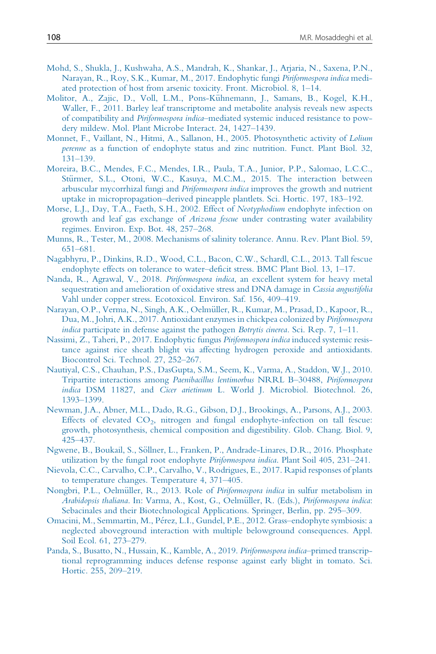- Mohd, S., Shukla, J., Kushwaha, A.S., Mandrah, K., Shankar, J., Arjaria, N., Saxena, P.N., Narayan, R., Roy, S.K., Kumar, M., 2017. Endophytic fungi Piriformospora indica mediated protection of host from arsenic toxicity. Front. Microbiol. 8, 1–14.
- Molitor, A., Zajic, D., Voll, L.M., Pons-Kühnemann, J., Samans, B., Kogel, K.H., Waller, F., 2011. Barley leaf transcriptome and metabolite analysis reveals new aspects of compatibility and Piriformospora indica–mediated systemic induced resistance to powdery mildew. Mol. Plant Microbe Interact. 24, 1427–1439.
- Monnet, F., Vaillant, N., Hitmi, A., Sallanon, H., 2005. Photosynthetic activity of Lolium perenne as a function of endophyte status and zinc nutrition. Funct. Plant Biol. 32, 131–139.
- Moreira, B.C., Mendes, F.C., Mendes, I.R., Paula, T.A., Junior, P.P., Salomao, L.C.C., Stürmer, S.L., Otoni, W.C., Kasuya, M.C.M., 2015. The interaction between arbuscular mycorrhizal fungi and Piriformospora indica improves the growth and nutrient uptake in micropropagation–derived pineapple plantlets. Sci. Hortic. 197, 183–192.
- Morse, L.J., Day, T.A., Faeth, S.H., 2002. Effect of Neotyphodium endophyte infection on growth and leaf gas exchange of Arizona fescue under contrasting water availability regimes. Environ. Exp. Bot. 48, 257–268.
- Munns, R., Tester, M., 2008. Mechanisms of salinity tolerance. Annu. Rev. Plant Biol. 59, 651–681.
- Nagabhyru, P., Dinkins, R.D., Wood, C.L., Bacon, C.W., Schardl, C.L., 2013. Tall fescue endophyte effects on tolerance to water–deficit stress. BMC Plant Biol. 13, 1–17.
- Nanda, R., Agrawal, V., 2018. Piriformospora indica, an excellent system for heavy metal sequestration and amelioration of oxidative stress and DNA damage in Cassia angustifolia Vahl under copper stress. Ecotoxicol. Environ. Saf. 156, 409–419.
- Narayan, O.P., Verma, N., Singh, A.K., Oelmüller, R., Kumar, M., Prasad, D., Kapoor, R., Dua, M., Johri, A.K., 2017. Antioxidant enzymes in chickpea colonized by Piriformospora indica participate in defense against the pathogen Botrytis cinerea. Sci. Rep. 7, 1–11.
- Nassimi, Z., Taheri, P., 2017. Endophytic fungus *Piriformospora indica* induced systemic resistance against rice sheath blight via affecting hydrogen peroxide and antioxidants. Biocontrol Sci. Technol. 27, 252–267.
- Nautiyal, C.S., Chauhan, P.S., DasGupta, S.M., Seem, K., Varma, A., Staddon, W.J., 2010. Tripartite interactions among Paenibacillus lentimorbus NRRL B–30488, Piriformospora indica DSM 11827, and Cicer arietinum L. World J. Microbiol. Biotechnol. 26, 1393–1399.
- Newman, J.A., Abner, M.L., Dado, R.G., Gibson, D.J., Brookings, A., Parsons, A.J., 2003. Effects of elevated  $CO<sub>2</sub>$ , nitrogen and fungal endophyte-infection on tall fescue: growth, photosynthesis, chemical composition and digestibility. Glob. Chang. Biol. 9, 425–437.
- Ngwene, B., Boukail, S., Sollner, L., Franken, P., Andrade-Linares, D.R., 2016. Phosphate € utilization by the fungal root endophyte Piriformospora indica. Plant Soil 405, 231–241.
- Nievola, C.C., Carvalho, C.P., Carvalho, V., Rodrigues, E., 2017. Rapid responses of plants to temperature changes. Temperature 4, 371–405.
- Nongbri, P.L., Oelmüller, R., 2013. Role of Piriformospora indica in sulfur metabolism in Arabidopsis thaliana. In: Varma, A., Kost, G., Oelmüller, R. (Eds.), Piriformospora indica: Sebacinales and their Biotechnological Applications. Springer, Berlin, pp. 295–309.
- Omacini, M., Semmartin, M., Perez, L.I., Gundel, P.E., 2012. Grass–endophyte symbiosis: a neglected aboveground interaction with multiple belowground consequences. Appl. Soil Ecol. 61, 273–279.
- Panda, S., Busatto, N., Hussain, K., Kamble, A., 2019. Piriformospora indica–primed transcriptional reprogramming induces defense response against early blight in tomato. Sci. Hortic. 255, 209–219.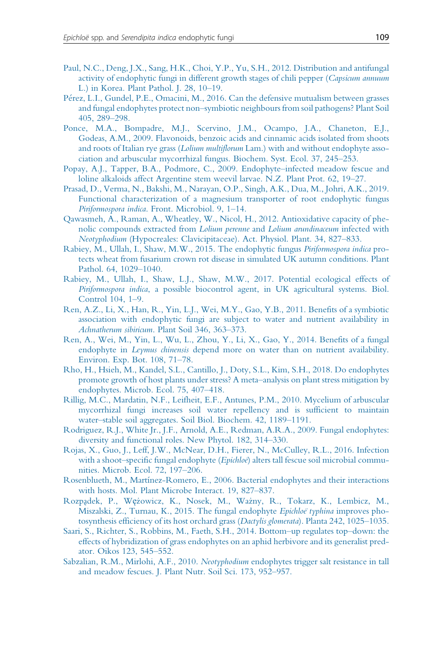- Paul, N.C., Deng, J.X., Sang, H.K., Choi, Y.P., Yu, S.H., 2012. Distribution and antifungal activity of endophytic fungi in different growth stages of chili pepper (Capsicum annuum L.) in Korea. Plant Pathol. J. 28, 10–19.
- Perez, L.I., Gundel, P.E., Omacini, M., 2016. Can the defensive mutualism between grasses and fungal endophytes protect non–symbiotic neighbours from soil pathogens? Plant Soil 405, 289–298.
- Ponce, M.A., Bompadre, M.J., Scervino, J.M., Ocampo, J.A., Chaneton, E.J., Godeas, A.M., 2009. Flavonoids, benzoic acids and cinnamic acids isolated from shoots and roots of Italian rye grass (Lolium multiflorum Lam.) with and without endophyte association and arbuscular mycorrhizal fungus. Biochem. Syst. Ecol. 37, 245–253.
- Popay, A.J., Tapper, B.A., Podmore, C., 2009. Endophyte–infected meadow fescue and loline alkaloids affect Argentine stem weevil larvae. N.Z. Plant Prot. 62, 19–27.
- Prasad, D., Verma, N., Bakshi, M., Narayan, O.P., Singh, A.K., Dua, M., Johri, A.K., 2019. Functional characterization of a magnesium transporter of root endophytic fungus Piriformospora indica. Front. Microbiol. 9, 1–14.
- Qawasmeh, A., Raman, A., Wheatley, W., Nicol, H., 2012. Antioxidative capacity of phenolic compounds extracted from Lolium perenne and Lolium arundinaceum infected with Neotyphodium (Hypocreales: Clavicipitaceae). Act. Physiol. Plant. 34, 827–833.
- Rabiey, M., Ullah, I., Shaw, M.W., 2015. The endophytic fungus Piriformospora indica protects wheat from fusarium crown rot disease in simulated UK autumn conditions. Plant Pathol. 64, 1029–1040.
- Rabiey, M., Ullah, I., Shaw, L.J., Shaw, M.W., 2017. Potential ecological effects of Piriformospora indica, a possible biocontrol agent, in UK agricultural systems. Biol. Control 104, 1–9.
- Ren, A.Z., Li, X., Han, R., Yin, L.J., Wei, M.Y., Gao, Y.B., 2011. Benefits of a symbiotic association with endophytic fungi are subject to water and nutrient availability in Achnatherum sibiricum. Plant Soil 346, 363–373.
- Ren, A., Wei, M., Yin, L., Wu, L., Zhou, Y., Li, X., Gao, Y., 2014. Benefits of a fungal endophyte in Leymus chinensis depend more on water than on nutrient availability. Environ. Exp. Bot. 108, 71–78.
- Rho, H., Hsieh, M., Kandel, S.L., Cantillo, J., Doty, S.L., Kim, S.H., 2018. Do endophytes promote growth of host plants under stress? A meta–analysis on plant stress mitigation by endophytes. Microb. Ecol. 75, 407–418.
- Rillig, M.C., Mardatin, N.F., Leifheit, E.F., Antunes, P.M., 2010. Mycelium of arbuscular mycorrhizal fungi increases soil water repellency and is sufficient to maintain water–stable soil aggregates. Soil Biol. Biochem. 42, 1189–1191.
- Rodriguez, R.J., White Jr., J.F., Arnold, A.E., Redman, A.R.A., 2009. Fungal endophytes: diversity and functional roles. New Phytol. 182, 314–330.
- Rojas, X., Guo, J., Leff, J.W., McNear, D.H., Fierer, N., McCulley, R.L., 2016. Infection with a shoot-specific fungal endophyte (Epichloe) alters tall fescue soil microbial communities. Microb. Ecol. 72, 197–206.
- Rosenblueth, M., Martínez-Romero, E., 2006. Bacterial endophytes and their interactions with hosts. Mol. Plant Microbe Interact. 19, 827–837.
- Rozpądek, P., Wężowicz, K., Nosek, M., Ważny, R., Tokarz, K., Lembicz, M., Miszalski, Z., Turnau, K., 2015. The fungal endophyte Epichloe typhina improves photosynthesis efficiency of its host orchard grass (Dactylis glomerata). Planta 242, 1025–1035.
- Saari, S., Richter, S., Robbins, M., Faeth, S.H., 2014. Bottom–up regulates top–down: the effects of hybridization of grass endophytes on an aphid herbivore and its generalist predator. Oikos 123, 545–552.
- Sabzalian, R.M., Mirlohi, A.F., 2010. Neotyphodium endophytes trigger salt resistance in tall and meadow fescues. J. Plant Nutr. Soil Sci. 173, 952–957.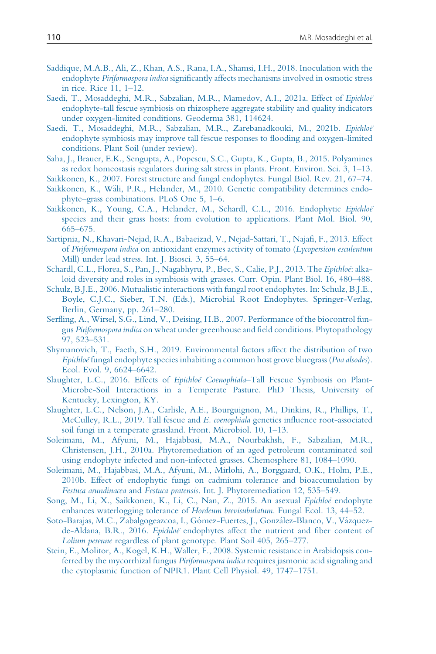- Saddique, M.A.B., Ali, Z., Khan, A.S., Rana, I.A., Shamsi, I.H., 2018. Inoculation with the endophyte Piriformospora indica significantly affects mechanisms involved in osmotic stress in rice. Rice 11, 1–12.
- Saedi, T., Mosaddeghi, M.R., Sabzalian, M.R., Mamedov, A.I., 2021a. Effect of Epichloë endophyte-tall fescue symbiosis on rhizosphere aggregate stability and quality indicators under oxygen-limited conditions. Geoderma 381, 114624.
- Saedi, T., Mosaddeghi, M.R., Sabzalian, M.R., Zarebanadkouki, M., 2021b. Epichloë endophyte symbiosis may improve tall fescue responses to flooding and oxygen-limited conditions. Plant Soil (under review).
- Saha, J., Brauer, E.K., Sengupta, A., Popescu, S.C., Gupta, K., Gupta, B., 2015. Polyamines as redox homeostasis regulators during salt stress in plants. Front. Environ. Sci. 3, 1–13.
- Saikkonen, K., 2007. Forest structure and fungal endophytes. Fungal Biol. Rev. 21, 67–74.
- Saikkonen, K., Wäli, P.R., Helander, M., 2010. Genetic compatibility determines endophyte–grass combinations. PLoS One 5, 1–6.
- Saikkonen, K., Young, C.A., Helander, M., Schardl, C.L., 2016. Endophytic Epichloë species and their grass hosts: from evolution to applications. Plant Mol. Biol. 90, 665–675.
- Sartipnia, N., Khavari-Nejad, R.A., Babaeizad, V., Nejad-Sattari, T., Najafi, F., 2013. Effect of Piriformospora indica on antioxidant enzymes activity of tomato (Lycopersicon esculentum Mill) under lead stress. Int. J. Biosci. 3, 55–64.
- Schardl, C.L., Florea, S., Pan, J., Nagabhyru, P., Bec, S., Calie, P.J., 2013. The Epichloë: alkaloid diversity and roles in symbiosis with grasses. Curr. Opin. Plant Biol. 16, 480–488.
- Schulz, B.J.E., 2006. Mutualistic interactions with fungal root endophytes. In: Schulz, B.J.E., Boyle, C.J.C., Sieber, T.N. (Eds.), Microbial Root Endophytes. Springer-Verlag, Berlin, Germany, pp. 261–280.
- Serfling, A., Wirsel, S.G., Lind, V., Deising, H.B., 2007. Performance of the biocontrol fungus Piriformospora indica on wheat under greenhouse and field conditions. Phytopathology 97, 523–531.
- Shymanovich, T., Faeth, S.H., 2019. Environmental factors affect the distribution of two Epichloe fungal endophyte species inhabiting a common host grove bluegrass (Poa alsodes). Ecol. Evol. 9, 6624–6642.
- Slaughter, L.C., 2016. Effects of Epichloë Coenophiala-Tall Fescue Symbiosis on Plant-Microbe-Soil Interactions in a Temperate Pasture. PhD Thesis, University of Kentucky, Lexington, KY.
- Slaughter, L.C., Nelson, J.A., Carlisle, A.E., Bourguignon, M., Dinkins, R., Phillips, T., McCulley, R.L., 2019. Tall fescue and E. coenophiala genetics influence root-associated soil fungi in a temperate grassland. Front. Microbiol. 10, 1–13.
- Soleimani, M., Afyuni, M., Hajabbasi, M.A., Nourbakhsh, F., Sabzalian, M.R., Christensen, J.H., 2010a. Phytoremediation of an aged petroleum contaminated soil using endophyte infected and non-infected grasses. Chemosphere 81, 1084–1090.
- Soleimani, M., Hajabbasi, M.A., Afyuni, M., Mirlohi, A., Borggaard, O.K., Holm, P.E., 2010b. Effect of endophytic fungi on cadmium tolerance and bioaccumulation by Festuca arundinacea and Festuca pratensis. Int. J. Phytoremediation 12, 535–549.
- Song, M., Li, X., Saikkonen, K., Li, C., Nan, Z., 2015. An asexual Epichloe endophyte enhances waterlogging tolerance of Hordeum brevisubulatum. Fungal Ecol. 13, 44–52.
- Soto-Barajas, M.C., Zabalgogeazcoa, I., Gómez-Fuertes, J., González-Blanco, V., Vázquezde-Aldana, B.R., 2016. Epichloeï endophytes affect the nutrient and fiber content of Lolium perenne regardless of plant genotype. Plant Soil 405, 265–277.
- Stein, E., Molitor, A., Kogel, K.H., Waller, F., 2008. Systemic resistance in Arabidopsis conferred by the mycorrhizal fungus Piriformospora indica requires jasmonic acid signaling and the cytoplasmic function of NPR1. Plant Cell Physiol. 49, 1747–1751.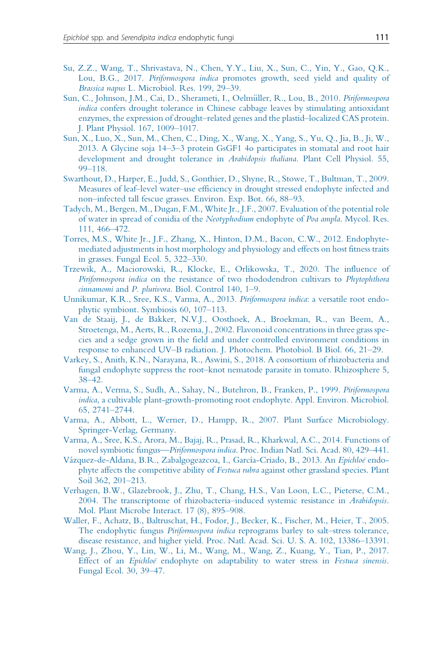- Su, Z.Z., Wang, T., Shrivastava, N., Chen, Y.Y., Liu, X., Sun, C., Yin, Y., Gao, Q.K., Lou, B.G., 2017. Piriformospora indica promotes growth, seed yield and quality of Brassica napus L. Microbiol. Res. 199, 29–39.
- Sun, C., Johnson, J.M., Cai, D., Sherameti, I., Oelmüller, R., Lou, B., 2010. Piriformospora indica confers drought tolerance in Chinese cabbage leaves by stimulating antioxidant enzymes, the expression of drought–related genes and the plastid–localized CAS protein. J. Plant Physiol. 167, 1009–1017.
- Sun, X., Luo, X., Sun, M., Chen, C., Ding, X., Wang, X., Yang, S., Yu, Q., Jia, B., Ji, W., 2013. A Glycine soja 14–3–3 protein GsGF1 4o participates in stomatal and root hair development and drought tolerance in Arabidopsis thaliana. Plant Cell Physiol. 55, 99–118.
- Swarthout, D., Harper, E., Judd, S., Gonthier, D., Shyne, R., Stowe, T., Bultman, T., 2009. Measures of leaf–level water–use efficiency in drought stressed endophyte infected and non–infected tall fescue grasses. Environ. Exp. Bot. 66, 88–93.
- Tadych, M., Bergen, M., Dugan, F.M., White Jr., J.F., 2007. Evaluation of the potential role of water in spread of conidia of the Neotyphodium endophyte of Poa ampla. Mycol. Res. 111, 466–472.
- Torres, M.S., White Jr., J.F., Zhang, X., Hinton, D.M., Bacon, C.W., 2012. Endophytemediated adjustments in host morphology and physiology and effects on host fitness traits in grasses. Fungal Ecol. 5, 322–330.
- Trzewik, A., Maciorowski, R., Klocke, E., Orlikowska, T., 2020. The influence of Piriformospora indica on the resistance of two rhododendron cultivars to Phytophthora cinnamomi and P. plurivora. Biol. Control 140, 1–9.
- Unnikumar, K.R., Sree, K.S., Varma, A., 2013. Piriformospora indica: a versatile root endophytic symbiont. Symbiosis 60, 107–113.
- Van de Staaij, J., de Bakker, N.V.J., Oosthoek, A., Broekman, R., van Beem, A., Stroetenga, M., Aerts, R., Rozema, J., 2002. Flavonoid concentrations in three grass species and a sedge grown in the field and under controlled environment conditions in response to enhanced UV–B radiation. J. Photochem. Photobiol. B Biol. 66, 21–29.
- Varkey, S., Anith, K.N., Narayana, R., Aswini, S., 2018. A consortium of rhizobacteria and fungal endophyte suppress the root–knot nematode parasite in tomato. Rhizosphere 5, 38–42.
- Varma, A., Verma, S., Sudh, A., Sahay, N., Butehron, B., Franken, P., 1999. Piriformospora indica, a cultivable plant-growth-promoting root endophyte. Appl. Environ. Microbiol. 65, 2741–2744.
- Varma, A., Abbott, L., Werner, D., Hampp, R., 2007. Plant Surface Microbiology. Springer-Verlag, Germany.
- Varma, A., Sree, K.S., Arora, M., Bajaj, R., Prasad, R., Kharkwal, A.C., 2014. Functions of novel symbiotic fungus—Piriformospora indica. Proc. Indian Natl. Sci. Acad. 80, 429–441.
- Vázquez-de-Aldana, B.R., Zabalgogeazcoa, I., García-Criado, B., 2013. An Epichloe endophyte affects the competitive ability of Festuca rubra against other grassland species. Plant Soil 362, 201–213.
- Verhagen, B.W., Glazebrook, J., Zhu, T., Chang, H.S., Van Loon, L.C., Pieterse, C.M., 2004. The transcriptome of rhizobacteria–induced systemic resistance in *Arabidopsis*. Mol. Plant Microbe Interact. 17 (8), 895–908.
- Waller, F., Achatz, B., Baltruschat, H., Fodor, J., Becker, K., Fischer, M., Heier, T., 2005. The endophytic fungus Piriformospora indica reprograms barley to salt-stress tolerance, disease resistance, and higher yield. Proc. Natl. Acad. Sci. U. S. A. 102, 13386–13391.
- Wang, J., Zhou, Y., Lin, W., Li, M., Wang, M., Wang, Z., Kuang, Y., Tian, P., 2017. Effect of an Epichloeï endophyte on adaptability to water stress in Festuca sinensis. Fungal Ecol. 30, 39–47.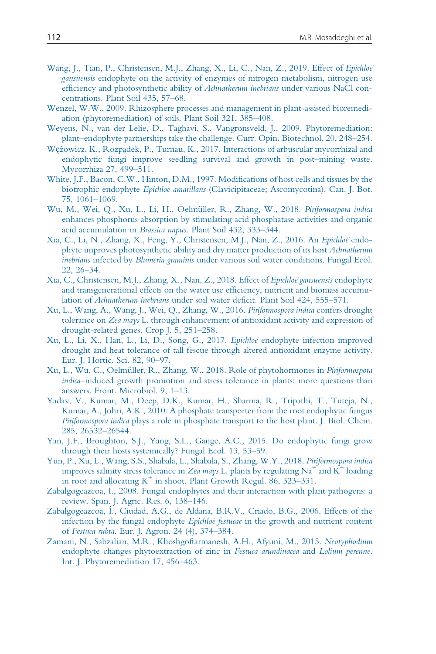- Wang, J., Tian, P., Christensen, M.J., Zhang, X., Li, C., Nan, Z., 2019. Effect of Epichloë gansuensis endophyte on the activity of enzymes of nitrogen metabolism, nitrogen use efficiency and photosynthetic ability of Achnatherum inebrians under various NaCl concentrations. Plant Soil 435, 57–68.
- Wenzel, W.W., 2009. Rhizosphere processes and management in plant-assisted bioremediation (phytoremediation) of soils. Plant Soil 321, 385–408.
- Weyens, N., van der Lelie, D., Taghavi, S., Vangronsveld, J., 2009. Phytoremediation: plant–endophyte partnerships take the challenge. Curr. Opin. Biotechnol. 20, 248–254.
- Wężowicz, K., Rozpądek, P., Turnau, K., 2017. Interactions of arbuscular mycorrhizal and endophytic fungi improve seedling survival and growth in post–mining waste. Mycorrhiza 27, 499–511.
- White, J.F., Bacon, C.W., Hinton, D.M., 1997. Modifications of host cells and tissues by the biotrophic endophyte Epichloe amarillans (Clavicipitaceae; Ascomycotina). Can. J. Bot. 75, 1061–1069.
- Wu, M., Wei, Q., Xu, L., Li, H., Oelmüller, R., Zhang, W., 2018. Piriformospora indica enhances phosphorus absorption by stimulating acid phosphatase activities and organic acid accumulation in Brassica napus. Plant Soil 432, 333–344.
- Xia, C., Li, N., Zhang, X., Feng, Y., Christensen, M.J., Nan, Z., 2016. An Epichloë endophyte improves photosynthetic ability and dry matter production of its host *Achnatherum* inebrians infected by Blumeria graminis under various soil water conditions. Fungal Ecol. 22, 26–34.
- Xia, C., Christensen, M.J., Zhang, X., Nan, Z., 2018. Effect of Epichloë gansuensis endophyte and transgenerational effects on the water use efficiency, nutrient and biomass accumulation of Achnatherum inebrians under soil water deficit. Plant Soil 424, 555–571.
- Xu, L., Wang, A., Wang, J., Wei, Q., Zhang, W., 2016. Piriformospora indica confers drought tolerance on Zea mays L. through enhancement of antioxidant activity and expression of drought-related genes. Crop J. 5, 251–258.
- Xu, L., Li, X., Han, L., Li, D., Song, G., 2017. Epichloe endophyte infection improved drought and heat tolerance of tall fescue through altered antioxidant enzyme activity. Eur. J. Hortic. Sci. 82, 90–97.
- Xu, L., Wu, C., Oelmüller, R., Zhang, W., 2018. Role of phytohormones in Piriformospora indica–induced growth promotion and stress tolerance in plants: more questions than answers. Front. Microbiol. 9, 1–13.
- Yadav, V., Kumar, M., Deep, D.K., Kumar, H., Sharma, R., Tripathi, T., Tuteja, N., Kumar, A., Johri, A.K., 2010. A phosphate transporter from the root endophytic fungus Piriformospora indica plays a role in phosphate transport to the host plant. J. Biol. Chem. 285, 26532–26544.
- Yan, J.F., Broughton, S.J., Yang, S.L., Gange, A.C., 2015. Do endophytic fungi grow through their hosts systemically? Fungal Ecol. 13, 53–59.
- Yun, P., Xu, L., Wang, S.S., Shabala, L., Shabala, S., Zhang, W.Y., 2018. Piriformospora indica improves salinity stress tolerance in Zea mays L. plants by regulating  $Na^+$  and  $K^+$  loading in root and allocating  $K^+$  in shoot. Plant Growth Regul. 86, 323–331.
- Zabalgogeazcoa, I., 2008. Fungal endophytes and their interaction with plant pathogens: a review. Span. J. Agric. Res. 6, 138–146.
- Zabalgogeazcoa, I., Ciudad, A.G., de Aldana, B.R.V., Criado, B.G., 2006. Effects of the infection by the fungal endophyte *Epichloë festucae* in the growth and nutrient content of Festuca rubra. Eur. J. Agron. 24 (4), 374–384.
- Zamani, N., Sabzalian, M.R., Khoshgoftarmanesh, A.H., Afyuni, M., 2015. Neotyphodium endophyte changes phytoextraction of zinc in Festuca arundinacea and Lolium perenne. Int. J. Phytoremediation 17, 456–463.